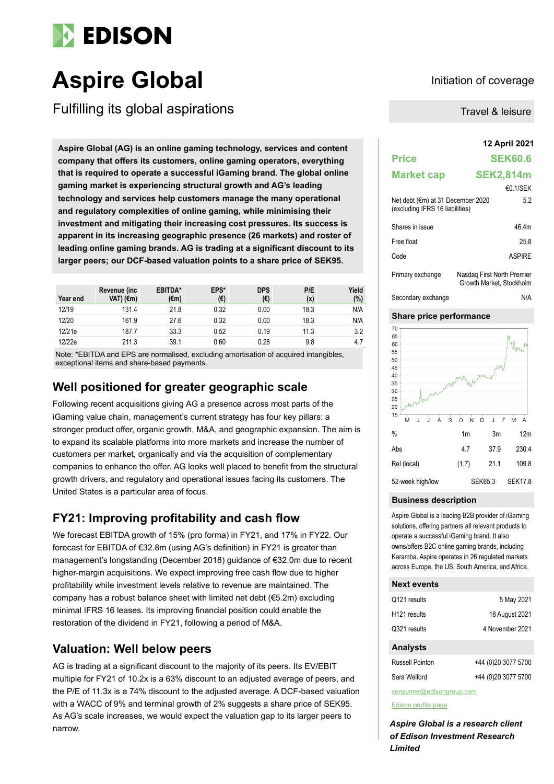

# **Aspire Global Initiation of coverage**

Fulfilling its global aspirations

**12 April 2021 Aspire Global (AG) is an online gaming technology, services and content company that offers its customers, online gaming operators, everything that is required to operate a successful iGaming brand. The global online gaming market is experiencing structural growth and AG's leading technology and services help customers manage the many operational and regulatory complexities of online gaming, while minimising their investment and mitigating their increasing cost pressures. Its success is apparent in its increasing geographic presence (26 markets) and roster of leading online gaming brands. AG is trading at a significant discount to its larger peers; our DCF-based valuation points to a share price of SEK95.**

| Year end | Revenue (inc.<br>VAT) (€m) | EBITDA*<br>(€m) | EPS*<br>(€) | <b>DPS</b><br>(€) | P/E<br>(x) | Yield<br>(%) |
|----------|----------------------------|-----------------|-------------|-------------------|------------|--------------|
| 12/19    | 131.4                      | 21.8            | 0.32        | 0.00              | 18.3       | N/A          |
| 12/20    | 161.9                      | 27.6            | 0.32        | 0.00              | 18.3       | N/A          |
| 12/21e   | 187.7                      | 33.3            | 0.52        | 0.19              | 11.3       | 3.2          |
| 12/22e   | 211.3                      | 39.1            | 0.60        | 0.28              | 9.8        | 4.7          |

Note: \*EBITDA and EPS are normalised, excluding amortisation of acquired intangibles, exceptional items and share-based payments.

## **Well positioned for greater geographic scale**

Following recent acquisitions giving AG a presence across most parts of the iGaming value chain, management's current strategy has four key pillars: a stronger product offer, organic growth, M&A, and geographic expansion. The aim is to expand its scalable platforms into more markets and increase the number of customers per market, organically and via the acquisition of complementary companies to enhance the offer. AG looks well placed to benefit from the structural growth drivers, and regulatory and operational issues facing its customers. The United States is a particular area of focus.

## **FY21: Improving profitability and cash flow**

We forecast EBITDA growth of 15% (pro forma) in FY21, and 17% in FY22. Our forecast for EBITDA of €32.8m (using AG's definition) in FY21 is greater than management's longstanding (December 2018) guidance of €32.0m due to recent higher-margin acquisitions. We expect improving free cash flow due to higher profitability while investment levels relative to revenue are maintained. The company has a robust balance sheet with limited net debt (€5.2m) excluding minimal IFRS 16 leases. Its improving financial position could enable the restoration of the dividend in FY21, following a period of M&A.

## **Valuation: Well below peers**

AG is trading at a significant discount to the majority of its peers. Its EV/EBIT multiple for FY21 of 10.2x is a 63% discount to an adjusted average of peers, and the P/E of 11.3x is a 74% discount to the adjusted average. A DCF-based valuation with a WACC of 9% and terminal growth of 2% suggests a share price of SEK95. As AG's scale increases, we would expect the valuation gap to its larger peers to narrow.

Travel & leisure

| <b>Price</b>                                                         | <b>SEK60.6</b>                                         |  |
|----------------------------------------------------------------------|--------------------------------------------------------|--|
| <b>Market cap</b>                                                    | <b>SEK2,814m</b>                                       |  |
|                                                                      | €0.1/SEK                                               |  |
| Net debt (€m) at 31 December 2020<br>(excluding IFRS 16 liabilities) | 5.2                                                    |  |
| Shares in issue                                                      | 46 4m                                                  |  |
| Free float                                                           | 258                                                    |  |
| Code                                                                 | <b>ASPIRF</b>                                          |  |
| Primary exchange                                                     | Nasdag First North Premier<br>Growth Market. Stockholm |  |





#### **Business description**

Aspire Global is a leading B2B provider of iGaming solutions, offering partners all relevant products to operate a successful iGaming brand. It also owns/offers B2C online gaming brands, including Karamba. Aspire operates in 26 regulated markets across Europe, the US, South America, and Africa.

#### **Next events**

| <b>Analysts</b>          |                 |
|--------------------------|-----------------|
| Q321 results             | 4 November 2021 |
| H <sub>121</sub> results | 18 August 2021  |
| Q121 results             | 5 May 2021      |

| Russell Pointon | +44 (0)20 3077 5700 |
|-----------------|---------------------|
| Sara Welford    | +44 (0)20 3077 5700 |

consumer@edisongroup.com

[Edison profile page](https://www.edisongroup.com/company/Aspire-Global)

*Aspire Global is a research client of Edison Investment Research Limited*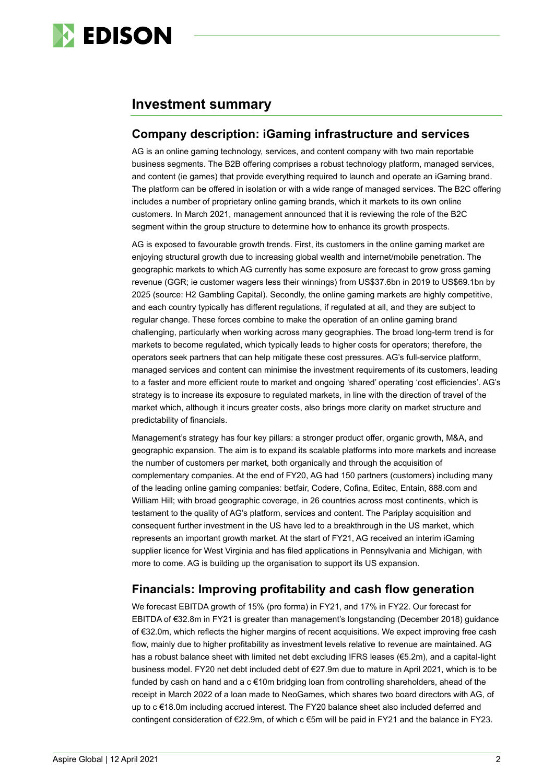

## **Investment summary**

## **Company description: iGaming infrastructure and services**

AG is an online gaming technology, services, and content company with two main reportable business segments. The B2B offering comprises a robust technology platform, managed services, and content (ie games) that provide everything required to launch and operate an iGaming brand. The platform can be offered in isolation or with a wide range of managed services. The B2C offering includes a number of proprietary online gaming brands, which it markets to its own online customers. In March 2021, management announced that it is reviewing the role of the B2C segment within the group structure to determine how to enhance its growth prospects.

AG is exposed to favourable growth trends. First, its customers in the online gaming market are enjoying structural growth due to increasing global wealth and internet/mobile penetration. The geographic markets to which AG currently has some exposure are forecast to grow gross gaming revenue (GGR; ie customer wagers less their winnings) from US\$37.6bn in 2019 to US\$69.1bn by 2025 (source: H2 Gambling Capital). Secondly, the online gaming markets are highly competitive, and each country typically has different regulations, if regulated at all, and they are subject to regular change. These forces combine to make the operation of an online gaming brand challenging, particularly when working across many geographies. The broad long-term trend is for markets to become regulated, which typically leads to higher costs for operators; therefore, the operators seek partners that can help mitigate these cost pressures. AG's full-service platform, managed services and content can minimise the investment requirements of its customers, leading to a faster and more efficient route to market and ongoing 'shared' operating 'cost efficiencies'. AG's strategy is to increase its exposure to regulated markets, in line with the direction of travel of the market which, although it incurs greater costs, also brings more clarity on market structure and predictability of financials.

Management's strategy has four key pillars: a stronger product offer, organic growth, M&A, and geographic expansion. The aim is to expand its scalable platforms into more markets and increase the number of customers per market, both organically and through the acquisition of complementary companies. At the end of FY20, AG had 150 partners (customers) including many of the leading online gaming companies: betfair, Codere, Cofina, Editec, Entain, 888.com and William Hill; with broad geographic coverage, in 26 countries across most continents, which is testament to the quality of AG's platform, services and content. The Pariplay acquisition and consequent further investment in the US have led to a breakthrough in the US market, which represents an important growth market. At the start of FY21, AG received an interim iGaming supplier licence for West Virginia and has filed applications in Pennsylvania and Michigan, with more to come. AG is building up the organisation to support its US expansion.

## **Financials: Improving profitability and cash flow generation**

We forecast EBITDA growth of 15% (pro forma) in FY21, and 17% in FY22. Our forecast for EBITDA of €32.8m in FY21 is greater than management's longstanding (December 2018) guidance of €32.0m, which reflects the higher margins of recent acquisitions. We expect improving free cash flow, mainly due to higher profitability as investment levels relative to revenue are maintained. AG has a robust balance sheet with limited net debt excluding IFRS leases (€5.2m), and a capital-light business model. FY20 net debt included debt of €27.9m due to mature in April 2021, which is to be funded by cash on hand and a  $c \in 10$ m bridging loan from controlling shareholders, ahead of the receipt in March 2022 of a loan made to NeoGames, which shares two board directors with AG, of up to c €18.0m including accrued interest. The FY20 balance sheet also included deferred and contingent consideration of €22.9m, of which c €5m will be paid in FY21 and the balance in FY23.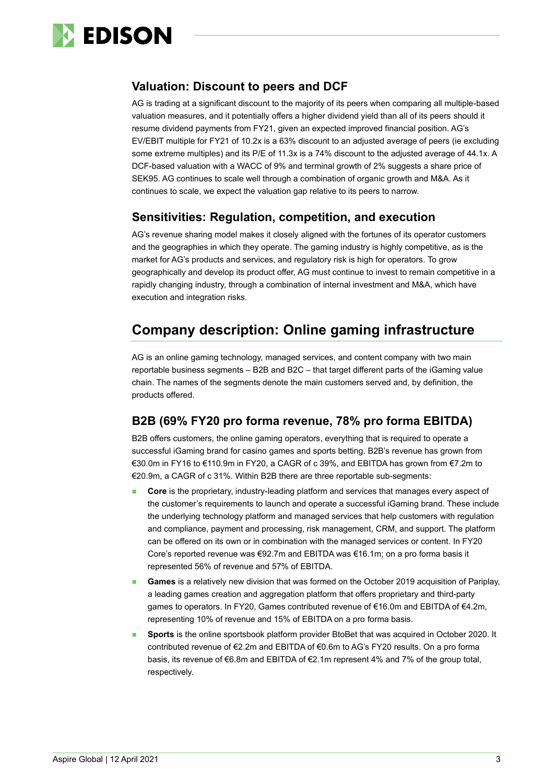

## **Valuation: Discount to peers and DCF**

AG is trading at a significant discount to the majority of its peers when comparing all multiple-based valuation measures, and it potentially offers a higher dividend yield than all of its peers should it resume dividend payments from FY21, given an expected improved financial position. AG's EV/EBIT multiple for FY21 of 10.2x is a 63% discount to an adjusted average of peers (ie excluding some extreme multiples) and its P/E of 11.3x is a 74% discount to the adjusted average of 44.1x. A DCF-based valuation with a WACC of 9% and terminal growth of 2% suggests a share price of SEK95. AG continues to scale well through a combination of organic growth and M&A. As it continues to scale, we expect the valuation gap relative to its peers to narrow.

## **Sensitivities: Regulation, competition, and execution**

AG's revenue sharing model makes it closely aligned with the fortunes of its operator customers and the geographies in which they operate. The gaming industry is highly competitive, as is the market for AG's products and services, and regulatory risk is high for operators. To grow geographically and develop its product offer, AG must continue to invest to remain competitive in a rapidly changing industry, through a combination of internal investment and M&A, which have execution and integration risks.

## **Company description: Online gaming infrastructure**

AG is an online gaming technology, managed services, and content company with two main reportable business segments – B2B and B2C – that target different parts of the iGaming value chain. The names of the segments denote the main customers served and, by definition, the products offered.

## **B2B (69% FY20 pro forma revenue, 78% pro forma EBITDA)**

B2B offers customers, the online gaming operators, everything that is required to operate a successful iGaming brand for casino games and sports betting. B2B's revenue has grown from €30.0m in FY16 to €110.9m in FY20, a CAGR of c 39%, and EBITDA has grown from €7.2m to €20.9m, a CAGR of c 31%. Within B2B there are three reportable sub-segments:

- **Core** is the proprietary, industry-leading platform and services that manages every aspect of the customer's requirements to launch and operate a successful iGaming brand. These include the underlying technology platform and managed services that help customers with regulation and compliance, payment and processing, risk management, CRM, and support. The platform can be offered on its own or in combination with the managed services or content. In FY20 Core's reported revenue was €92.7m and EBITDA was €16.1m; on a pro forma basis it represented 56% of revenue and 57% of EBITDA.
- Games is a relatively new division that was formed on the October 2019 acquisition of Pariplay, a leading games creation and aggregation platform that offers proprietary and third-party games to operators. In FY20, Games contributed revenue of €16.0m and EBITDA of €4.2m, representing 10% of revenue and 15% of EBITDA on a pro forma basis.
- ◼ **Sports** is the online sportsbook platform provider BtoBet that was acquired in October 2020. It contributed revenue of €2.2m and EBITDA of €0.6m to AG's FY20 results. On a pro forma basis, its revenue of €6.8m and EBITDA of €2.1m represent 4% and 7% of the group total, respectively.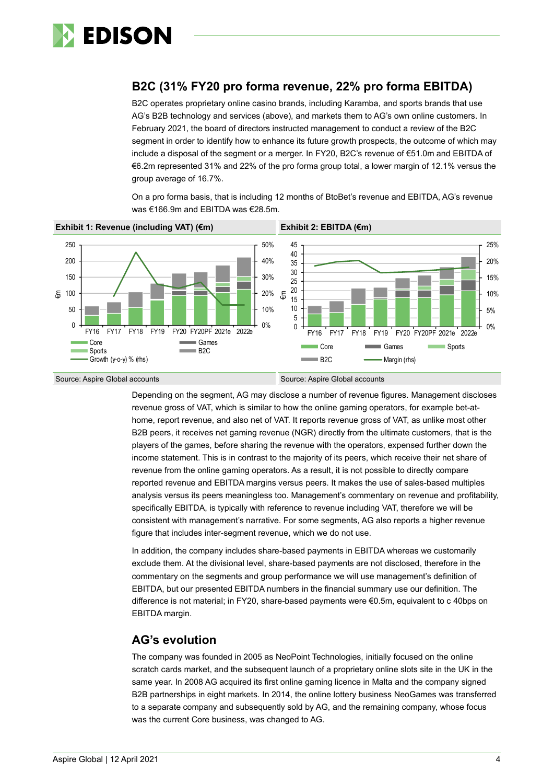

## **B2C (31% FY20 pro forma revenue, 22% pro forma EBITDA)**

B2C operates proprietary online casino brands, including Karamba, and sports brands that use AG's B2B technology and services (above), and markets them to AG's own online customers. In February 2021, the board of directors instructed management to conduct a review of the B2C segment in order to identify how to enhance its future growth prospects, the outcome of which may include a disposal of the segment or a merger. In FY20, B2C's revenue of €51.0m and EBITDA of €6.2m represented 31% and 22% of the pro forma group total, a lower margin of 12.1% versus the group average of 16.7%.

On a pro forma basis, that is including 12 months of BtoBet's revenue and EBITDA, AG's revenue was €166.9m and EBITDA was €28.5m.



Source: Aspire Global accounts Source: Aspire Global accounts Source: Aspire Global accounts

Depending on the segment, AG may disclose a number of revenue figures. Management discloses revenue gross of VAT, which is similar to how the online gaming operators, for example bet-athome, report revenue, and also net of VAT. It reports revenue gross of VAT, as unlike most other B2B peers, it receives net gaming revenue (NGR) directly from the ultimate customers, that is the players of the games, before sharing the revenue with the operators, expensed further down the income statement. This is in contrast to the majority of its peers, which receive their net share of revenue from the online gaming operators. As a result, it is not possible to directly compare reported revenue and EBITDA margins versus peers. It makes the use of sales-based multiples analysis versus its peers meaningless too. Management's commentary on revenue and profitability, specifically EBITDA, is typically with reference to revenue including VAT, therefore we will be consistent with management's narrative. For some segments, AG also reports a higher revenue figure that includes inter-segment revenue, which we do not use.

In addition, the company includes share-based payments in EBITDA whereas we customarily exclude them. At the divisional level, share-based payments are not disclosed, therefore in the commentary on the segments and group performance we will use management's definition of EBITDA, but our presented EBITDA numbers in the financial summary use our definition. The difference is not material; in FY20, share-based payments were €0.5m, equivalent to c 40bps on EBITDA margin.

### **AG's evolution**

The company was founded in 2005 as NeoPoint Technologies, initially focused on the online scratch cards market, and the subsequent launch of a proprietary online slots site in the UK in the same year. In 2008 AG acquired its first online gaming licence in Malta and the company signed B2B partnerships in eight markets. In 2014, the online lottery business NeoGames was transferred to a separate company and subsequently sold by AG, and the remaining company, whose focus was the current Core business, was changed to AG.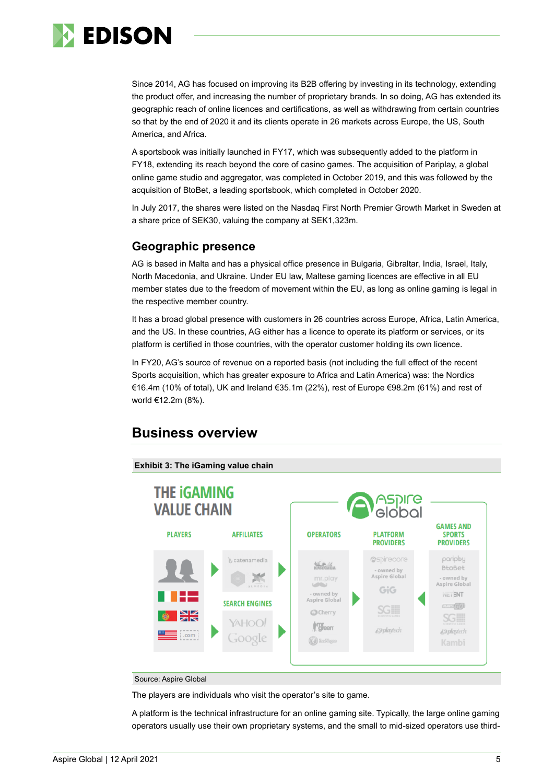

Since 2014, AG has focused on improving its B2B offering by investing in its technology, extending the product offer, and increasing the number of proprietary brands. In so doing, AG has extended its geographic reach of online licences and certifications, as well as withdrawing from certain countries so that by the end of 2020 it and its clients operate in 26 markets across Europe, the US, South America, and Africa.

A sportsbook was initially launched in FY17, which was subsequently added to the platform in FY18, extending its reach beyond the core of casino games. The acquisition of Pariplay, a global online game studio and aggregator, was completed in October 2019, and this was followed by the acquisition of BtoBet, a leading sportsbook, which completed in October 2020.

In July 2017, the shares were listed on the Nasdaq First North Premier Growth Market in Sweden at a share price of SEK30, valuing the company at SEK1,323m.

## **Geographic presence**

AG is based in Malta and has a physical office presence in Bulgaria, Gibraltar, India, Israel, Italy, North Macedonia, and Ukraine. Under EU law, Maltese gaming licences are effective in all EU member states due to the freedom of movement within the EU, as long as online gaming is legal in the respective member country.

It has a broad global presence with customers in 26 countries across Europe, Africa, Latin America, and the US. In these countries, AG either has a licence to operate its platform or services, or its platform is certified in those countries, with the operator customer holding its own licence.

In FY20, AG's source of revenue on a reported basis (not including the full effect of the recent Sports acquisition, which has greater exposure to Africa and Latin America) was: the Nordics €16.4m (10% of total), UK and Ireland €35.1m (22%), rest of Europe €98.2m (61%) and rest of world €12.2m (8%).

## **Business overview**



#### Source: Aspire Global

The players are individuals who visit the operator's site to game.

A platform is the technical infrastructure for an online gaming site. Typically, the large online gaming operators usually use their own proprietary systems, and the small to mid-sized operators use third-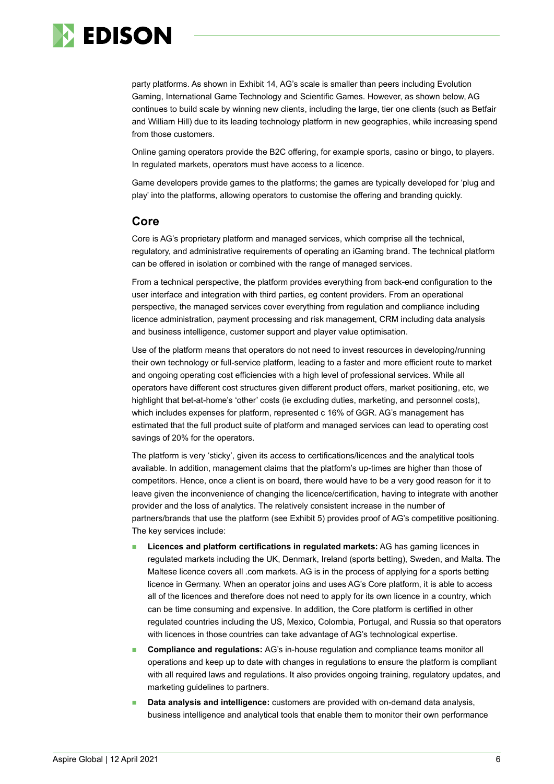

party platforms. As shown in Exhibit 14, AG's scale is smaller than peers including Evolution Gaming, International Game Technology and Scientific Games. However, as shown below, AG continues to build scale by winning new clients, including the large, tier one clients (such as Betfair and William Hill) due to its leading technology platform in new geographies, while increasing spend from those customers.

Online gaming operators provide the B2C offering, for example sports, casino or bingo, to players. In regulated markets, operators must have access to a licence.

Game developers provide games to the platforms; the games are typically developed for 'plug and play' into the platforms, allowing operators to customise the offering and branding quickly.

#### **Core**

Core is AG's proprietary platform and managed services, which comprise all the technical, regulatory, and administrative requirements of operating an iGaming brand. The technical platform can be offered in isolation or combined with the range of managed services.

From a technical perspective, the platform provides everything from back-end configuration to the user interface and integration with third parties, eg content providers. From an operational perspective, the managed services cover everything from regulation and compliance including licence administration, payment processing and risk management, CRM including data analysis and business intelligence, customer support and player value optimisation.

Use of the platform means that operators do not need to invest resources in developing/running their own technology or full-service platform, leading to a faster and more efficient route to market and ongoing operating cost efficiencies with a high level of professional services. While all operators have different cost structures given different product offers, market positioning, etc, we highlight that bet-at-home's 'other' costs (ie excluding duties, marketing, and personnel costs), which includes expenses for platform, represented c 16% of GGR. AG's management has estimated that the full product suite of platform and managed services can lead to operating cost savings of 20% for the operators.

The platform is very 'sticky', given its access to certifications/licences and the analytical tools available. In addition, management claims that the platform's up-times are higher than those of competitors. Hence, once a client is on board, there would have to be a very good reason for it to leave given the inconvenience of changing the licence/certification, having to integrate with another provider and the loss of analytics. The relatively consistent increase in the number of partners/brands that use the platform (see Exhibit 5) provides proof of AG's competitive positioning. The key services include:

- ◼ **Licences and platform certifications in regulated markets:** AG has gaming licences in regulated markets including the UK, Denmark, Ireland (sports betting), Sweden, and Malta. The Maltese licence covers all .com markets. AG is in the process of applying for a sports betting licence in Germany. When an operator joins and uses AG's Core platform, it is able to access all of the licences and therefore does not need to apply for its own licence in a country, which can be time consuming and expensive. In addition, the Core platform is certified in other regulated countries including the US, Mexico, Colombia, Portugal, and Russia so that operators with licences in those countries can take advantage of AG's technological expertise.
- ◼ **Compliance and regulations:** AG's in-house regulation and compliance teams monitor all operations and keep up to date with changes in regulations to ensure the platform is compliant with all required laws and regulations. It also provides ongoing training, regulatory updates, and marketing guidelines to partners.
- **Data analysis and intelligence:** customers are provided with on-demand data analysis, business intelligence and analytical tools that enable them to monitor their own performance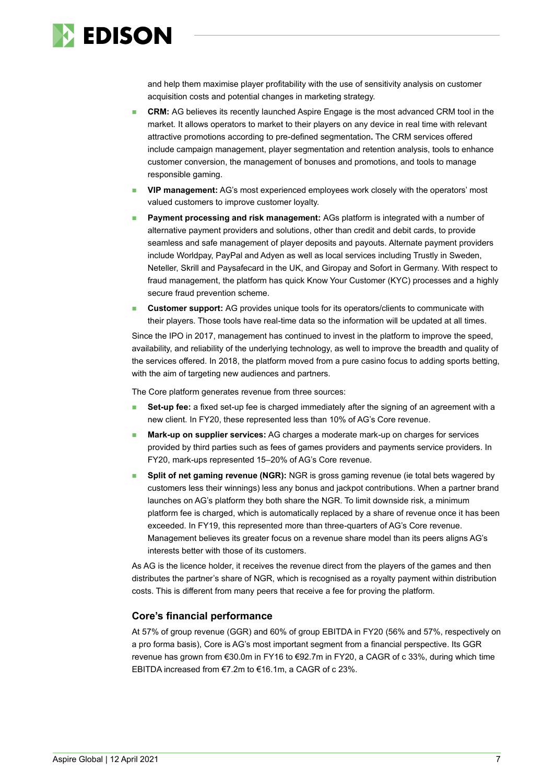

and help them maximise player profitability with the use of sensitivity analysis on customer acquisition costs and potential changes in marketing strategy.

- **CRM:** AG believes its recently launched Aspire Engage is the most advanced CRM tool in the market. It allows operators to market to their players on any device in real time with relevant attractive promotions according to pre-defined segmentation**.** The CRM services offered include campaign management, player segmentation and retention analysis, tools to enhance customer conversion, the management of bonuses and promotions, and tools to manage responsible gaming.
- ◼ **VIP management:** AG's most experienced employees work closely with the operators' most valued customers to improve customer loyalty.
- **Payment processing and risk management:** AGs platform is integrated with a number of alternative payment providers and solutions, other than credit and debit cards, to provide seamless and safe management of player deposits and payouts. Alternate payment providers include Worldpay, PayPal and Adyen as well as local services including Trustly in Sweden, Neteller, Skrill and Paysafecard in the UK, and Giropay and Sofort in Germany. With respect to fraud management, the platform has quick Know Your Customer (KYC) processes and a highly secure fraud prevention scheme.
- **Customer support:** AG provides unique tools for its operators/clients to communicate with their players. Those tools have real-time data so the information will be updated at all times.

Since the IPO in 2017, management has continued to invest in the platform to improve the speed, availability, and reliability of the underlying technology, as well to improve the breadth and quality of the services offered. In 2018, the platform moved from a pure casino focus to adding sports betting, with the aim of targeting new audiences and partners.

The Core platform generates revenue from three sources:

- **Set-up fee:** a fixed set-up fee is charged immediately after the signing of an agreement with a new client. In FY20, these represented less than 10% of AG's Core revenue.
- **Mark-up on supplier services:** AG charges a moderate mark-up on charges for services provided by third parties such as fees of games providers and payments service providers. In FY20, mark-ups represented 15–20% of AG's Core revenue.
- **Split of net gaming revenue (NGR):** NGR is gross gaming revenue (ie total bets wagered by customers less their winnings) less any bonus and jackpot contributions. When a partner brand launches on AG's platform they both share the NGR. To limit downside risk, a minimum platform fee is charged, which is automatically replaced by a share of revenue once it has been exceeded. In FY19, this represented more than three-quarters of AG's Core revenue. Management believes its greater focus on a revenue share model than its peers aligns AG's interests better with those of its customers.

As AG is the licence holder, it receives the revenue direct from the players of the games and then distributes the partner's share of NGR, which is recognised as a royalty payment within distribution costs. This is different from many peers that receive a fee for proving the platform.

#### **Core's financial performance**

At 57% of group revenue (GGR) and 60% of group EBITDA in FY20 (56% and 57%, respectively on a pro forma basis), Core is AG's most important segment from a financial perspective. Its GGR revenue has grown from €30.0m in FY16 to €92.7m in FY20, a CAGR of c 33%, during which time EBITDA increased from €7.2m to €16.1m, a CAGR of c 23%.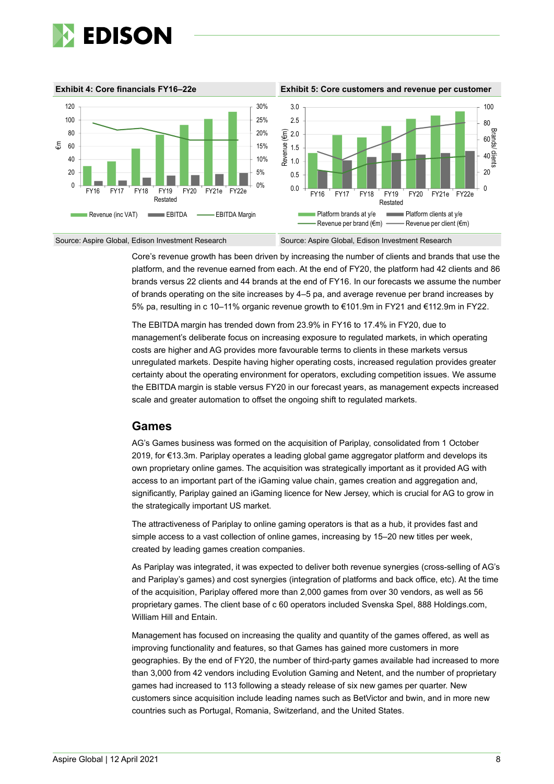

**Exhibit 4: Core financials FY16–22e Exhibit 5: Core customers and revenue per customer** Source: Aspire Global, Edison Investment Research Source: Aspire Global, Edison Investment Research 0% 5% 10% 15% 20% 25% 30%  $\Omega$ 20 40 60 80 100 120 FY16 FY17 FY18 FY19 Restated FY20 FY21e FY22e €m Revenue (inc VAT) EBITDA - EBITDA Margin  $\overline{0}$ 20  $40\frac{2}{9}$ 60 80 100 0.0 0.5 1.0 1.5  $\widehat{E}$  2.0 2.5 3.0 FY16 FY17 FY18 FY19 Restated FY20 FY21e FY22e Brands/ clients Revenue (€m) Platform brands at y/e Platform clients at y/e Revenue per brand ( $\epsilon$ m) —— Revenue per client ( $\epsilon$ m)

Core's revenue growth has been driven by increasing the number of clients and brands that use the platform, and the revenue earned from each. At the end of FY20, the platform had 42 clients and 86 brands versus 22 clients and 44 brands at the end of FY16. In our forecasts we assume the number of brands operating on the site increases by 4–5 pa, and average revenue per brand increases by 5% pa, resulting in c 10–11% organic revenue growth to €101.9m in FY21 and €112.9m in FY22.

The EBITDA margin has trended down from 23.9% in FY16 to 17.4% in FY20, due to management's deliberate focus on increasing exposure to regulated markets, in which operating costs are higher and AG provides more favourable terms to clients in these markets versus unregulated markets. Despite having higher operating costs, increased regulation provides greater certainty about the operating environment for operators, excluding competition issues. We assume the EBITDA margin is stable versus FY20 in our forecast years, as management expects increased scale and greater automation to offset the ongoing shift to regulated markets.

### **Games**

AG's Games business was formed on the acquisition of Pariplay, consolidated from 1 October 2019, for €13.3m. Pariplay operates a leading global game aggregator platform and develops its own proprietary online games. The acquisition was strategically important as it provided AG with access to an important part of the iGaming value chain, games creation and aggregation and, significantly, Pariplay gained an iGaming licence for New Jersey, which is crucial for AG to grow in the strategically important US market.

The attractiveness of Pariplay to online gaming operators is that as a hub, it provides fast and simple access to a vast collection of online games, increasing by 15–20 new titles per week, created by leading games creation companies.

As Pariplay was integrated, it was expected to deliver both revenue synergies (cross-selling of AG's and Pariplay's games) and cost synergies (integration of platforms and back office, etc). At the time of the acquisition, Pariplay offered more than 2,000 games from over 30 vendors, as well as 56 proprietary games. The client base of c 60 operators included Svenska Spel, 888 Holdings.com, William Hill and Entain.

Management has focused on increasing the quality and quantity of the games offered, as well as improving functionality and features, so that Games has gained more customers in more geographies. By the end of FY20, the number of third-party games available had increased to more than 3,000 from 42 vendors including Evolution Gaming and Netent, and the number of proprietary games had increased to 113 following a steady release of six new games per quarter. New customers since acquisition include leading names such as BetVictor and bwin, and in more new countries such as Portugal, Romania, Switzerland, and the United States.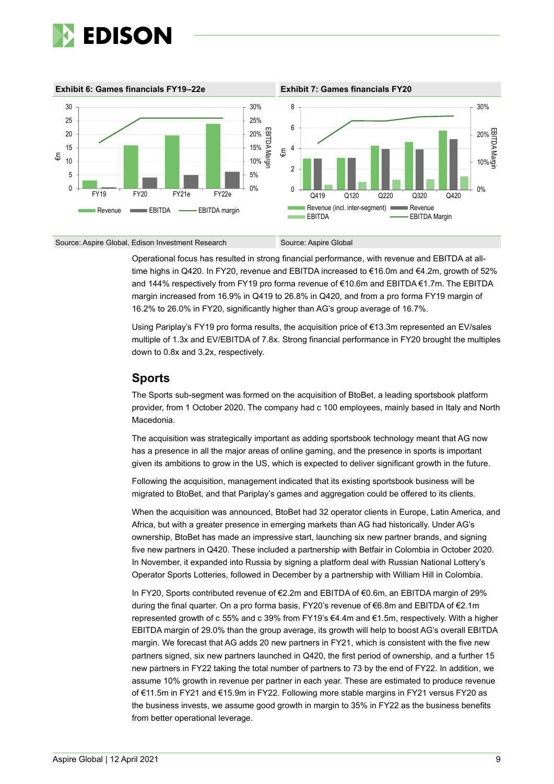



Operational focus has resulted in strong financial performance, with revenue and EBITDA at alltime highs in Q420. In FY20, revenue and EBITDA increased to €16.0m and €4.2m, growth of 52% and 144% respectively from FY19 pro forma revenue of €10.6m and EBITDA €1.7m. The EBITDA margin increased from 16.9% in Q419 to 26.8% in Q420, and from a pro forma FY19 margin of 16.2% to 26.0% in FY20, significantly higher than AG's group average of 16.7%.

Using Pariplay's FY19 pro forma results, the acquisition price of €13.3m represented an EV/sales multiple of 1.3x and EV/EBITDA of 7.8x. Strong financial performance in FY20 brought the multiples down to 0.8x and 3.2x, respectively.

### **Sports**

The Sports sub-segment was formed on the acquisition of BtoBet, a leading sportsbook platform provider, from 1 October 2020. The company had c 100 employees, mainly based in Italy and North Macedonia.

The acquisition was strategically important as adding sportsbook technology meant that AG now has a presence in all the major areas of online gaming, and the presence in sports is important given its ambitions to grow in the US, which is expected to deliver significant growth in the future.

Following the acquisition, management indicated that its existing sportsbook business will be migrated to BtoBet, and that Pariplay's games and aggregation could be offered to its clients.

When the acquisition was announced, BtoBet had 32 operator clients in Europe, Latin America, and Africa, but with a greater presence in emerging markets than AG had historically. Under AG's ownership, BtoBet has made an impressive start, launching six new partner brands, and signing five new partners in Q420. These included a partnership with Betfair in Colombia in October 2020. In November, it expanded into Russia by signing a platform deal with Russian National Lottery's Operator Sports Lotteries, followed in December by a partnership with William Hill in Colombia.

In FY20, Sports contributed revenue of €2.2m and EBITDA of €0.6m, an EBITDA margin of 29% during the final quarter. On a pro forma basis, FY20's revenue of €6.8m and EBITDA of €2.1m represented growth of c 55% and c 39% from FY19's €4.4m and €1.5m, respectively. With a higher EBITDA margin of 29.0% than the group average, its growth will help to boost AG's overall EBITDA margin. We forecast that AG adds 20 new partners in FY21, which is consistent with the five new partners signed, six new partners launched in Q420, the first period of ownership, and a further 15 new partners in FY22 taking the total number of partners to 73 by the end of FY22. In addition, we assume 10% growth in revenue per partner in each year. These are estimated to produce revenue of €11.5m in FY21 and €15.9m in FY22. Following more stable margins in FY21 versus FY20 as the business invests, we assume good growth in margin to 35% in FY22 as the business benefits from better operational leverage.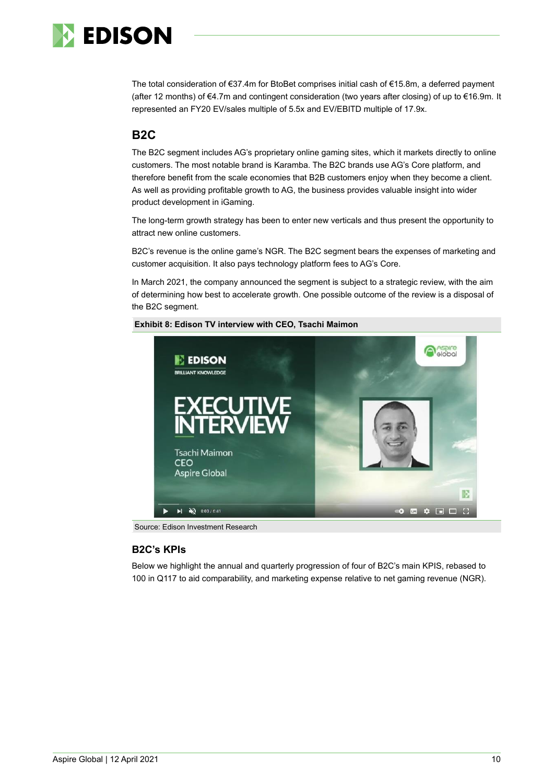

The total consideration of €37.4m for BtoBet comprises initial cash of €15.8m, a deferred payment (after 12 months) of €4.7m and contingent consideration (two years after closing) of up to €16.9m. It represented an FY20 EV/sales multiple of 5.5x and EV/EBITD multiple of 17.9x.

## **B2C**

The B2C segment includes AG's proprietary online gaming sites, which it markets directly to online customers. The most notable brand is Karamba. The B2C brands use AG's Core platform, and therefore benefit from the scale economies that B2B customers enjoy when they become a client. As well as providing profitable growth to AG, the business provides valuable insight into wider product development in iGaming.

The long-term growth strategy has been to enter new verticals and thus present the opportunity to attract new online customers.

B2C's revenue is the online game's NGR. The B2C segment bears the expenses of marketing and customer acquisition. It also pays technology platform fees to AG's Core.

In March 2021, the company announced the segment is subject to a strategic review, with the aim of determining how best to accelerate growth. One possible outcome of the review is a disposal of the B2C segment.



#### **Exhibit 8: Edison TV interview with CEO, Tsachi Maimon**

Source: Edison Investment Research

#### **B2C's KPIs**

Below we highlight the annual and quarterly progression of four of B2C's main KPIS, rebased to 100 in Q117 to aid comparability, and marketing expense relative to net gaming revenue (NGR).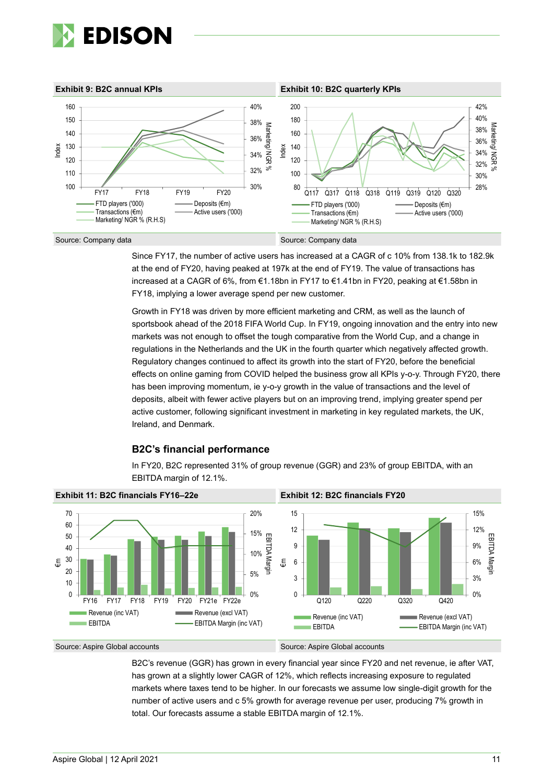



Since FY17, the number of active users has increased at a CAGR of c 10% from 138.1k to 182.9k at the end of FY20, having peaked at 197k at the end of FY19. The value of transactions has increased at a CAGR of 6%, from €1.18bn in FY17 to €1.41bn in FY20, peaking at €1.58bn in FY18, implying a lower average spend per new customer.

Growth in FY18 was driven by more efficient marketing and CRM, as well as the launch of sportsbook ahead of the 2018 FIFA World Cup. In FY19, ongoing innovation and the entry into new markets was not enough to offset the tough comparative from the World Cup, and a change in regulations in the Netherlands and the UK in the fourth quarter which negatively affected growth. Regulatory changes continued to affect its growth into the start of FY20, before the beneficial effects on online gaming from COVID helped the business grow all KPIs y-o-y. Through FY20, there has been improving momentum, ie y-o-y growth in the value of transactions and the level of deposits, albeit with fewer active players but on an improving trend, implying greater spend per active customer, following significant investment in marketing in key regulated markets, the UK, Ireland, and Denmark.

#### **B2C's financial performance**

In FY20, B2C represented 31% of group revenue (GGR) and 23% of group EBITDA, with an EBITDA margin of 12.1%.



#### Source: Aspire Global accounts Source: Aspire Global accounts

B2C's revenue (GGR) has grown in every financial year since FY20 and net revenue, ie after VAT, has grown at a slightly lower CAGR of 12%, which reflects increasing exposure to regulated markets where taxes tend to be higher. In our forecasts we assume low single-digit growth for the number of active users and c 5% growth for average revenue per user, producing 7% growth in total. Our forecasts assume a stable EBITDA margin of 12.1%.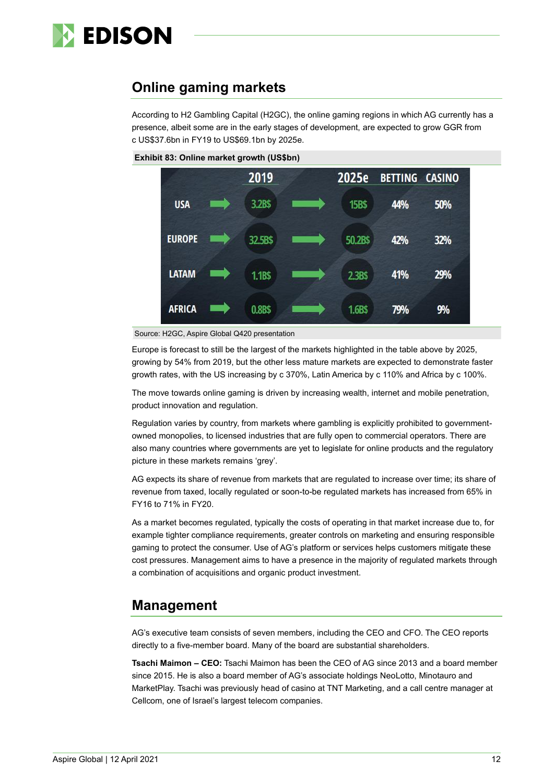

## **Online gaming markets**

According to H2 Gambling Capital (H2GC), the online gaming regions in which AG currently has a presence, albeit some are in the early stages of development, are expected to grow GGR from c US\$37.6bn in FY19 to US\$69.1bn by 2025e.



**Exhibit 83: Online market growth (US\$bn)**

Europe is forecast to still be the largest of the markets highlighted in the table above by 2025, growing by 54% from 2019, but the other less mature markets are expected to demonstrate faster growth rates, with the US increasing by c 370%, Latin America by c 110% and Africa by c 100%.

The move towards online gaming is driven by increasing wealth, internet and mobile penetration, product innovation and regulation.

Regulation varies by country, from markets where gambling is explicitly prohibited to governmentowned monopolies, to licensed industries that are fully open to commercial operators. There are also many countries where governments are yet to legislate for online products and the regulatory picture in these markets remains 'grey'.

AG expects its share of revenue from markets that are regulated to increase over time; its share of revenue from taxed, locally regulated or soon-to-be regulated markets has increased from 65% in FY16 to 71% in FY20.

As a market becomes regulated, typically the costs of operating in that market increase due to, for example tighter compliance requirements, greater controls on marketing and ensuring responsible gaming to protect the consumer. Use of AG's platform or services helps customers mitigate these cost pressures. Management aims to have a presence in the majority of regulated markets through a combination of acquisitions and organic product investment.

## **Management**

AG's executive team consists of seven members, including the CEO and CFO. The CEO reports directly to a five-member board. Many of the board are substantial shareholders.

**Tsachi Maimon – CEO:** Tsachi Maimon has been the CEO of AG since 2013 and a board member since 2015. He is also a board member of AG's associate holdings NeoLotto, Minotauro and MarketPlay. Tsachi was previously head of casino at TNT Marketing, and a call centre manager at Cellcom, one of Israel's largest telecom companies.

Source: H2GC, Aspire Global Q420 presentation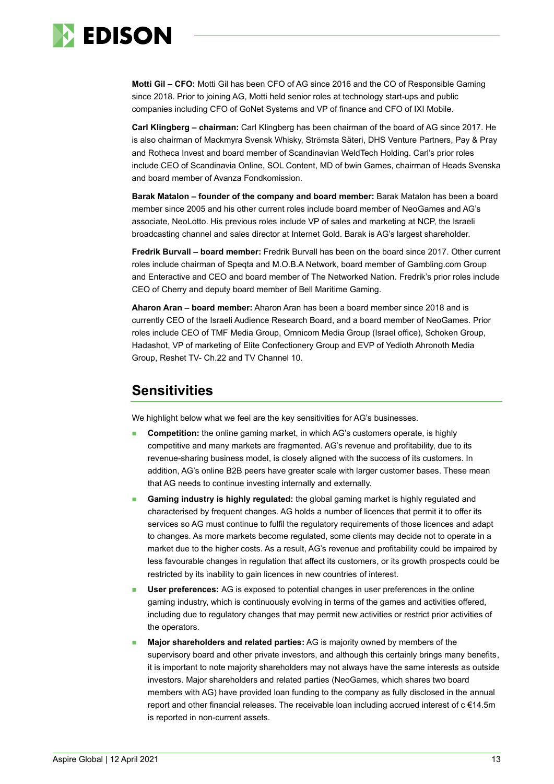

**Motti Gil – CFO:** Motti Gil has been CFO of AG since 2016 and the CO of Responsible Gaming since 2018. Prior to joining AG, Motti held senior roles at technology start-ups and public companies including CFO of GoNet Systems and VP of finance and CFO of IXI Mobile.

**Carl Klingberg – chairman:** Carl Klingberg has been chairman of the board of AG since 2017. He is also chairman of Mackmyra Svensk Whisky, Strömsta Säteri, DHS Venture Partners, Pay & Pray and Rotheca Invest and board member of Scandinavian WeldTech Holding. Carl's prior roles include CEO of Scandinavia Online, SOL Content, MD of bwin Games, chairman of Heads Svenska and board member of Avanza Fondkomission.

**Barak Matalon – founder of the company and board member:** Barak Matalon has been a board member since 2005 and his other current roles include board member of NeoGames and AG's associate, NeoLotto. His previous roles include VP of sales and marketing at NCP, the Israeli broadcasting channel and sales director at Internet Gold. Barak is AG's largest shareholder.

**Fredrik Burvall – board member:** Fredrik Burvall has been on the board since 2017. Other current roles include chairman of Speqta and M.O.B.A Network, board member of Gambling.com Group and Enteractive and CEO and board member of The Networked Nation. Fredrik's prior roles include CEO of Cherry and deputy board member of Bell Maritime Gaming.

**Aharon Aran – board member:** Aharon Aran has been a board member since 2018 and is currently CEO of the Israeli Audience Research Board, and a board member of NeoGames. Prior roles include CEO of TMF Media Group, Omnicom Media Group (Israel office), Schoken Group, Hadashot, VP of marketing of Elite Confectionery Group and EVP of Yedioth Ahronoth Media Group, Reshet TV- Ch.22 and TV Channel 10.

## **Sensitivities**

We highlight below what we feel are the key sensitivities for AG's businesses.

- **Competition:** the online gaming market, in which AG's customers operate, is highly competitive and many markets are fragmented. AG's revenue and profitability, due to its revenue-sharing business model, is closely aligned with the success of its customers. In addition, AG's online B2B peers have greater scale with larger customer bases. These mean that AG needs to continue investing internally and externally.
- **Gaming industry is highly regulated:** the global gaming market is highly regulated and characterised by frequent changes. AG holds a number of licences that permit it to offer its services so AG must continue to fulfil the regulatory requirements of those licences and adapt to changes. As more markets become regulated, some clients may decide not to operate in a market due to the higher costs. As a result, AG's revenue and profitability could be impaired by less favourable changes in regulation that affect its customers, or its growth prospects could be restricted by its inability to gain licences in new countries of interest.
- **User preferences:** AG is exposed to potential changes in user preferences in the online gaming industry, which is continuously evolving in terms of the games and activities offered, including due to regulatory changes that may permit new activities or restrict prior activities of the operators.
- ◼ **Major shareholders and related parties:** AG is majority owned by members of the supervisory board and other private investors, and although this certainly brings many benefits, it is important to note majority shareholders may not always have the same interests as outside investors. Major shareholders and related parties (NeoGames, which shares two board members with AG) have provided loan funding to the company as fully disclosed in the annual report and other financial releases. The receivable loan including accrued interest of  $c \in 14.5$ m is reported in non-current assets.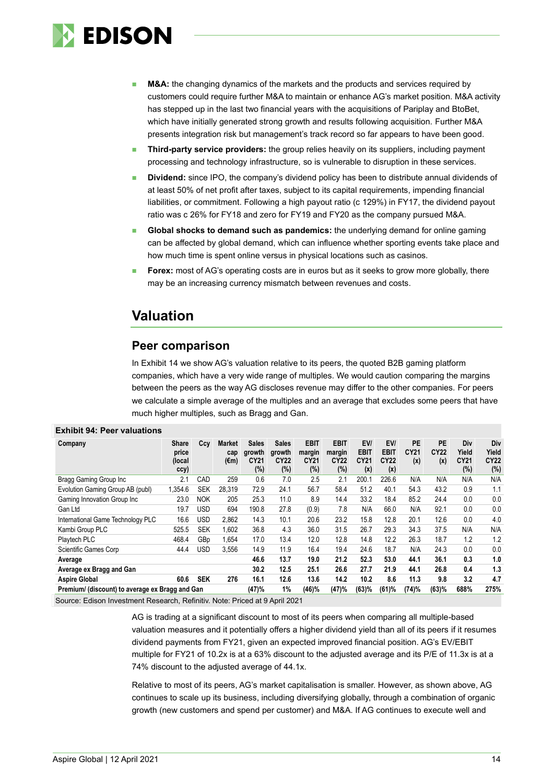

- **M&A:** the changing dynamics of the markets and the products and services required by customers could require further M&A to maintain or enhance AG's market position. M&A activity has stepped up in the last two financial years with the acquisitions of Pariplay and BtoBet, which have initially generated strong growth and results following acquisition. Further M&A presents integration risk but management's track record so far appears to have been good.
- **Third-party service providers:** the group relies heavily on its suppliers, including payment processing and technology infrastructure, so is vulnerable to disruption in these services.
- ◼ **Dividend:** since IPO, the company's dividend policy has been to distribute annual dividends of at least 50% of net profit after taxes, subject to its capital requirements, impending financial liabilities, or commitment. Following a high payout ratio (c 129%) in FY17, the dividend payout ratio was c 26% for FY18 and zero for FY19 and FY20 as the company pursued M&A.
- **Global shocks to demand such as pandemics:** the underlying demand for online gaming can be affected by global demand, which can influence whether sporting events take place and how much time is spent online versus in physical locations such as casinos.
- **Forex:** most of AG's operating costs are in euros but as it seeks to grow more globally, there may be an increasing currency mismatch between revenues and costs.

## **Valuation**

### **Peer comparison**

In Exhibit 14 we show AG's valuation relative to its peers, the quoted B2B gaming platform companies, which have a very wide range of multiples. We would caution comparing the margins between the peers as the way AG discloses revenue may differ to the other companies. For peers we calculate a simple average of the multiples and an average that excludes some peers that have much higher multiples, such as Bragg and Gan.

| Company                                         | <b>Share</b><br>price<br>(local)<br>ccy) | Ccv             | Market<br>cap<br>(€m) | <b>Sales</b><br>growth<br>CY21<br>(%) | <b>Sales</b><br>growth<br><b>CY22</b><br>$(\%)$ | <b>EBIT</b><br>margin<br>CY21<br>(%) | <b>EBIT</b><br>margin<br>CY22<br>$(\%)$ | EV/<br>EBIT<br>CY21<br>(x) | EVI<br>EBIT<br><b>CY22</b><br>(x) | PE<br>CY21<br>(x) | <b>PE</b><br><b>CY22</b><br>(x) | Div<br>Yield<br><b>CY21</b><br>(%) | Div<br>Yield<br><b>CY22</b><br>(%) |
|-------------------------------------------------|------------------------------------------|-----------------|-----------------------|---------------------------------------|-------------------------------------------------|--------------------------------------|-----------------------------------------|----------------------------|-----------------------------------|-------------------|---------------------------------|------------------------------------|------------------------------------|
| Bragg Gaming Group Inc                          | 2.1                                      | CAD             | 259                   | 0.6                                   | 7.0                                             | 2.5                                  | 2.1                                     | 200.1                      | 226.6                             | N/A               | N/A                             | N/A                                | N/A                                |
| Evolution Gaming Group AB (publ)                | 1,354.6                                  | <b>SEK</b>      | 28,319                | 72.9                                  | 24.1                                            | 56.7                                 | 58.4                                    | 51.2                       | 40.1                              | 54.3              | 43.2                            | 0.9                                | 1.1                                |
| Gaming Innovation Group Inc                     | 23.0                                     | <b>NOK</b>      | 205                   | 25.3                                  | 11.0                                            | 8.9                                  | 14.4                                    | 33.2                       | 18.4                              | 85.2              | 24.4                            | 0.0                                | 0.0                                |
| Gan Ltd                                         | 19.7                                     | USD             | 694                   | 190.8                                 | 27.8                                            | (0.9)                                | 7.8                                     | N/A                        | 66.0                              | N/A               | 92.1                            | 0.0                                | 0.0                                |
| International Game Technology PLC               | 16.6                                     | USD             | 2,862                 | 14.3                                  | 10.1                                            | 20.6                                 | 23.2                                    | 15.8                       | 12.8                              | 20.1              | 12.6                            | 0.0                                | 4.0                                |
| Kambi Group PLC                                 | 525.5                                    | <b>SEK</b>      | 1.602                 | 36.8                                  | 4.3                                             | 36.0                                 | 31.5                                    | 26.7                       | 29.3                              | 34.3              | 37.5                            | N/A                                | N/A                                |
| Playtech PLC                                    | 468.4                                    | GB <sub>p</sub> | 1.654                 | 17.0                                  | 13.4                                            | 12.0                                 | 12.8                                    | 14.8                       | 12.2                              | 26.3              | 18.7                            | 1.2                                | 1.2                                |
| <b>Scientific Games Corp</b>                    | 44.4                                     | <b>USD</b>      | 3,556                 | 14.9                                  | 11.9                                            | 16.4                                 | 19.4                                    | 24.6                       | 18.7                              | N/A               | 24.3                            | 0.0                                | 0.0                                |
| Average                                         |                                          |                 |                       | 46.6                                  | 13.7                                            | 19.0                                 | 21.2                                    | 52.3                       | 53.0                              | 44.1              | 36.1                            | 0.3                                | 1.0                                |
| Average ex Bragg and Gan                        |                                          |                 |                       | 30.2                                  | 12.5                                            | 25.1                                 | 26.6                                    | 27.7                       | 21.9                              | 44.1              | 26.8                            | 0.4                                | 1.3                                |
| <b>Aspire Global</b>                            | 60.6                                     | <b>SEK</b>      | 276                   | 16.1                                  | 12.6                                            | 13.6                                 | 14.2                                    | 10.2                       | 8.6                               | 11.3              | 9.8                             | 3.2                                | 4.7                                |
| Premium/ (discount) to average ex Bragg and Gan | (47)%                                    | 1%              | (46)%                 | (47)%                                 | (63)%                                           | (61)%                                | (74)%                                   | (63)%                      | 688%                              | 275%              |                                 |                                    |                                    |

#### **Exhibit 94: Peer valuations**

Source: Edison Investment Research, Refinitiv. Note: Priced at 9 April 2021

AG is trading at a significant discount to most of its peers when comparing all multiple-based valuation measures and it potentially offers a higher dividend yield than all of its peers if it resumes dividend payments from FY21, given an expected improved financial position. AG's EV/EBIT multiple for FY21 of 10.2x is at a 63% discount to the adjusted average and its P/E of 11.3x is at a 74% discount to the adjusted average of 44.1x.

Relative to most of its peers, AG's market capitalisation is smaller. However, as shown above, AG continues to scale up its business, including diversifying globally, through a combination of organic growth (new customers and spend per customer) and M&A. If AG continues to execute well and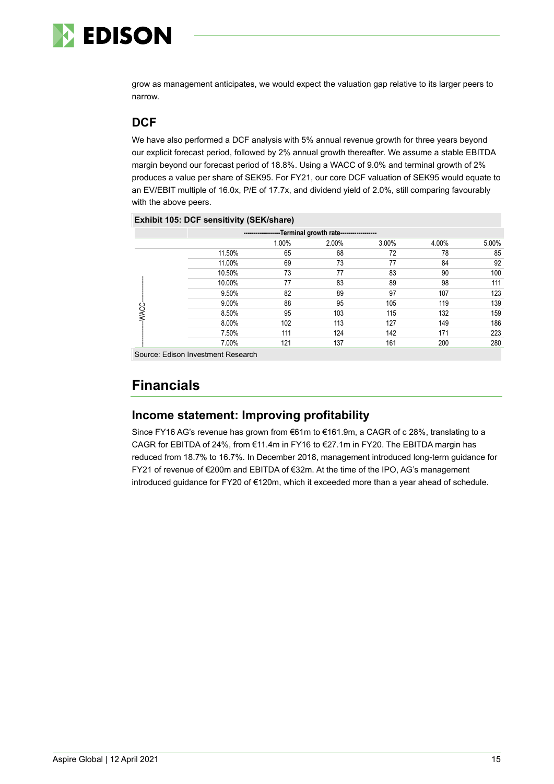

grow as management anticipates, we would expect the valuation gap relative to its larger peers to narrow.

## **DCF**

We have also performed a DCF analysis with 5% annual revenue growth for three years beyond our explicit forecast period, followed by 2% annual growth thereafter. We assume a stable EBITDA margin beyond our forecast period of 18.8%. Using a WACC of 9.0% and terminal growth of 2% produces a value per share of SEK95. For FY21, our core DCF valuation of SEK95 would equate to an EV/EBIT multiple of 16.0x, P/E of 17.7x, and dividend yield of 2.0%, still comparing favourably with the above peers.

#### **Exhibit 105: DCF sensitivity (SEK/share)**

| ------------------Terminal growth rate------------------ |        |       |       |       |       |       |  |  |  |
|----------------------------------------------------------|--------|-------|-------|-------|-------|-------|--|--|--|
|                                                          |        | 1.00% | 2.00% | 3.00% | 4.00% | 5.00% |  |  |  |
|                                                          | 11.50% | 65    | 68    | 72    | 78    | 85    |  |  |  |
|                                                          | 11.00% | 69    | 73    | 77    | 84    | 92    |  |  |  |
|                                                          | 10.50% | 73    | 77    | 83    | 90    | 100   |  |  |  |
|                                                          | 10.00% | 77    | 83    | 89    | 98    | 111   |  |  |  |
|                                                          | 9.50%  | 82    | 89    | 97    | 107   | 123   |  |  |  |
|                                                          | 9.00%  | 88    | 95    | 105   | 119   | 139   |  |  |  |
| WAC                                                      | 8.50%  | 95    | 103   | 115   | 132   | 159   |  |  |  |
|                                                          | 8.00%  | 102   | 113   | 127   | 149   | 186   |  |  |  |
|                                                          | 7.50%  | 111   | 124   | 142   | 171   | 223   |  |  |  |
|                                                          | 7.00%  | 121   | 137   | 161   | 200   | 280   |  |  |  |

Source: Edison Investment Research

## **Financials**

## **Income statement: Improving profitability**

Since FY16 AG's revenue has grown from €61m to €161.9m, a CAGR of c 28%, translating to a CAGR for EBITDA of 24%, from €11.4m in FY16 to €27.1m in FY20. The EBITDA margin has reduced from 18.7% to 16.7%. In December 2018, management introduced long-term guidance for FY21 of revenue of €200m and EBITDA of €32m. At the time of the IPO, AG's management introduced guidance for FY20 of €120m, which it exceeded more than a year ahead of schedule.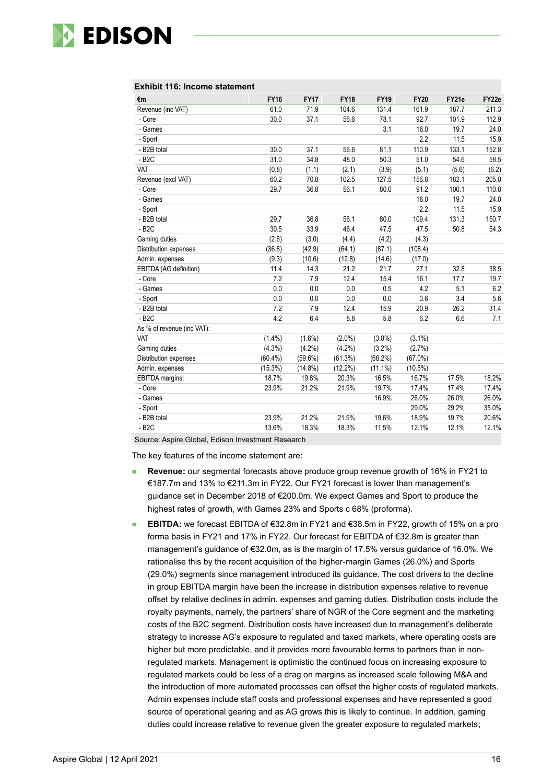

|  |  |  | Exhibit 116: Income statement |
|--|--|--|-------------------------------|
|--|--|--|-------------------------------|

| €m                         | <b>FY16</b> | <b>FY17</b> | <b>FY18</b> | <b>FY19</b> | <b>FY20</b> | FY21e | FY22e |
|----------------------------|-------------|-------------|-------------|-------------|-------------|-------|-------|
| Revenue (inc VAT)          | 61.0        | 71.9        | 104.6       | 131.4       | 161.9       | 187.7 | 211.3 |
| - Core                     | 30.0        | 37.1        | 56.6        | 78.1        | 92.7        | 101.9 | 112.9 |
| - Games                    |             |             |             | 3.1         | 16.0        | 19.7  | 24.0  |
| - Sport                    |             |             |             |             | 2.2         | 11.5  | 15.9  |
| - B2B total                | 30.0        | 37.1        | 56.6        | 81.1        | 110.9       | 133.1 | 152.8 |
| $-B2C$                     | 31.0        | 34.8        | 48.0        | 50.3        | 51.0        | 54.6  | 58.5  |
| <b>VAT</b>                 | (0.8)       | (1.1)       | (2.1)       | (3.9)       | (5.1)       | (5.6) | (6.2) |
| Revenue (excl VAT)         | 60.2        | 70.8        | 102.5       | 127.5       | 156.8       | 182.1 | 205.0 |
| - Core                     | 29.7        | 36.8        | 56.1        | 80.0        | 91.2        | 100.1 | 110.8 |
| - Games                    |             |             |             |             | 16.0        | 19.7  | 24.0  |
| - Sport                    |             |             |             |             | 2.2         | 11.5  | 15.9  |
| - B2B total                | 29.7        | 36.8        | 56.1        | 80.0        | 109.4       | 131.3 | 150.7 |
| $-B2C$                     | 30.5        | 33.9        | 46.4        | 47.5        | 47.5        | 50.8  | 54.3  |
| Gaming duties              | (2.6)       | (3.0)       | (4.4)       | (4.2)       | (4.3)       |       |       |
| Distribution expenses      | (36.8)      | (42.9)      | (64.1)      | (87.1)      | (108.4)     |       |       |
| Admin. expenses            | (9.3)       | (10.6)      | (12.8)      | (14.6)      | (17.0)      |       |       |
| EBITDA (AG definition)     | 11.4        | 14.3        | 21.2        | 21.7        | 27.1        | 32.8  | 38.5  |
| - Core                     | 7.2         | 7.9         | 12.4        | 15.4        | 16.1        | 17.7  | 19.7  |
| - Games                    | 0.0         | 0.0         | 0.0         | 0.5         | 4.2         | 5.1   | 6.2   |
| - Sport                    | 0.0         | 0.0         | 0.0         | 0.0         | 0.6         | 3.4   | 5.6   |
| - B2B total                | 7.2         | 7.9         | 12.4        | 15.9        | 20.9        | 26.2  | 31.4  |
| $-B2C$                     | 4.2         | 6.4         | 8.8         | 5.8         | 6.2         | 6.6   | 7.1   |
| As % of revenue (inc VAT): |             |             |             |             |             |       |       |
| <b>VAT</b>                 | $(1.4\%)$   | $(1.6\%)$   | $(2.0\%)$   | $(3.0\%)$   | $(3.1\%)$   |       |       |
| Gaming duties              | (4.3%)      | $(4.2\%)$   | (4.2%)      | (3.2%)      | (2.7%)      |       |       |
| Distribution expenses      | $(60.4\%)$  | $(59.6\%)$  | (61.3%)     | (66.2%)     | $(67.0\%)$  |       |       |
| Admin. expenses            | (15.3%)     | $(14.8\%)$  | $(12.2\%)$  | $(11.1\%)$  | $(10.5\%)$  |       |       |
| EBITDA margins:            | 18.7%       | 19.8%       | 20.3%       | 16.5%       | 16.7%       | 17.5% | 18.2% |
| - Core                     | 23.9%       | 21.2%       | 21.9%       | 19.7%       | 17.4%       | 17.4% | 17.4% |
| - Games                    |             |             |             | 16.9%       | 26.0%       | 26.0% | 26.0% |
| - Sport                    |             |             |             |             | 29.0%       | 29.2% | 35.0% |
| - B2B total                | 23.9%       | 21.2%       | 21.9%       | 19.6%       | 18.9%       | 19.7% | 20.6% |
| $-B2C$                     | 13.6%       | 18.3%       | 18.3%       | 11.5%       | 12.1%       | 12.1% | 12.1% |

Source: Aspire Global, Edison Investment Research

The key features of the income statement are:

- **Revenue:** our segmental forecasts above produce group revenue growth of 16% in FY21 to €187.7m and 13% to €211.3m in FY22. Our FY21 forecast is lower than management's guidance set in December 2018 of €200.0m. We expect Games and Sport to produce the highest rates of growth, with Games 23% and Sports c 68% (proforma).
- **EBITDA:** we forecast EBITDA of €32.8m in FY21 and €38.5m in FY22, growth of 15% on a pro forma basis in FY21 and 17% in FY22. Our forecast for EBITDA of €32.8m is greater than management's guidance of €32.0m, as is the margin of 17.5% versus guidance of 16.0%. We rationalise this by the recent acquisition of the higher-margin Games (26.0%) and Sports (29.0%) segments since management introduced its guidance. The cost drivers to the decline in group EBITDA margin have been the increase in distribution expenses relative to revenue offset by relative declines in admin. expenses and gaming duties. Distribution costs include the royalty payments, namely, the partners' share of NGR of the Core segment and the marketing costs of the B2C segment. Distribution costs have increased due to management's deliberate strategy to increase AG's exposure to regulated and taxed markets, where operating costs are higher but more predictable, and it provides more favourable terms to partners than in nonregulated markets. Management is optimistic the continued focus on increasing exposure to regulated markets could be less of a drag on margins as increased scale following M&A and the introduction of more automated processes can offset the higher costs of regulated markets. Admin expenses include staff costs and professional expenses and have represented a good source of operational gearing and as AG grows this is likely to continue. In addition, gaming duties could increase relative to revenue given the greater exposure to regulated markets;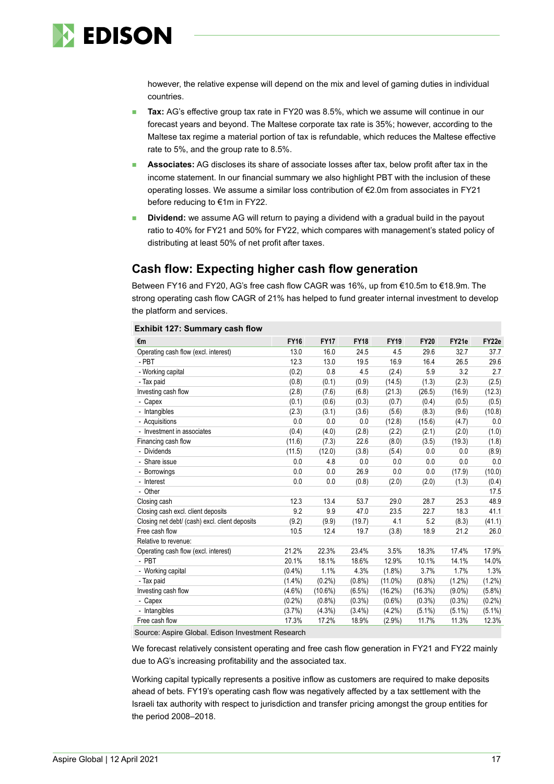

however, the relative expense will depend on the mix and level of gaming duties in individual countries.

- Tax: AG's effective group tax rate in FY20 was 8.5%, which we assume will continue in our forecast years and beyond. The Maltese corporate tax rate is 35%; however, according to the Maltese tax regime a material portion of tax is refundable, which reduces the Maltese effective rate to 5%, and the group rate to 8.5%.
- Associates: AG discloses its share of associate losses after tax, below profit after tax in the income statement. In our financial summary we also highlight PBT with the inclusion of these operating losses. We assume a similar loss contribution of €2.0m from associates in FY21 before reducing to €1m in FY22.
- ◼ **Dividend:** we assume AG will return to paying a dividend with a gradual build in the payout ratio to 40% for FY21 and 50% for FY22, which compares with management's stated policy of distributing at least 50% of net profit after taxes.

## **Cash flow: Expecting higher cash flow generation**

Between FY16 and FY20, AG's free cash flow CAGR was 16%, up from €10.5m to €18.9m. The strong operating cash flow CAGR of 21% has helped to fund greater internal investment to develop the platform and services.

| €m                                             | <b>FY16</b> | <b>FY17</b> | <b>FY18</b> | <b>FY19</b> | <b>FY20</b> | FY21e     | FY22e     |
|------------------------------------------------|-------------|-------------|-------------|-------------|-------------|-----------|-----------|
| Operating cash flow (excl. interest)           | 13.0        | 16.0        | 24.5        | 4.5         | 29.6        | 32.7      | 37.7      |
| - PBT                                          | 12.3        | 13.0        | 19.5        | 16.9        | 16.4        | 26.5      | 29.6      |
| - Working capital                              | (0.2)       | 0.8         | 4.5         | (2.4)       | 5.9         | 3.2       | 2.7       |
| - Tax paid                                     | (0.8)       | (0.1)       | (0.9)       | (14.5)      | (1.3)       | (2.3)     | (2.5)     |
| Investing cash flow                            | (2.8)       | (7.6)       | (6.8)       | (21.3)      | (26.5)      | (16.9)    | (12.3)    |
| - Capex                                        | (0.1)       | (0.6)       | (0.3)       | (0.7)       | (0.4)       | (0.5)     | (0.5)     |
| - Intangibles                                  | (2.3)       | (3.1)       | (3.6)       | (5.6)       | (8.3)       | (9.6)     | (10.8)    |
| - Acquisitions                                 | 0.0         | 0.0         | 0.0         | (12.8)      | (15.6)      | (4.7)     | 0.0       |
| - Investment in associates                     | (0.4)       | (4.0)       | (2.8)       | (2.2)       | (2.1)       | (2.0)     | (1.0)     |
| Financing cash flow                            | (11.6)      | (7.3)       | 22.6        | (8.0)       | (3.5)       | (19.3)    | (1.8)     |
| - Dividends                                    | (11.5)      | (12.0)      | (3.8)       | (5.4)       | 0.0         | 0.0       | (8.9)     |
| - Share issue                                  | 0.0         | 4.8         | 0.0         | 0.0         | 0.0         | 0.0       | 0.0       |
| - Borrowings                                   | 0.0         | 0.0         | 26.9        | 0.0         | 0.0         | (17.9)    | (10.0)    |
| - Interest                                     | 0.0         | 0.0         | (0.8)       | (2.0)       | (2.0)       | (1.3)     | (0.4)     |
| - Other                                        |             |             |             |             |             |           | 17.5      |
| Closing cash                                   | 12.3        | 13.4        | 53.7        | 29.0        | 28.7        | 25.3      | 48.9      |
| Closing cash excl. client deposits             | 9.2         | 9.9         | 47.0        | 23.5        | 22.7        | 18.3      | 41.1      |
| Closing net debt/ (cash) excl. client deposits | (9.2)       | (9.9)       | (19.7)      | 4.1         | 5.2         | (8.3)     | (41.1)    |
| Free cash flow                                 | 10.5        | 12.4        | 19.7        | (3.8)       | 18.9        | 21.2      | 26.0      |
| Relative to revenue:                           |             |             |             |             |             |           |           |
| Operating cash flow (excl. interest)           | 21.2%       | 22.3%       | 23.4%       | 3.5%        | 18.3%       | 17.4%     | 17.9%     |
| - PBT                                          | 20.1%       | 18.1%       | 18.6%       | 12.9%       | 10.1%       | 14.1%     | 14.0%     |
| - Working capital                              | $(0.4\%)$   | 1.1%        | 4.3%        | $(1.8\%)$   | 3.7%        | 1.7%      | 1.3%      |
| - Tax paid                                     | $(1.4\%)$   | $(0.2\%)$   | (0.8%       | $(11.0\%)$  | (0.8%       | $(1.2\%)$ | (1.2%)    |
| Investing cash flow                            | $(4.6\%)$   | $(10.6\%)$  | (6.5%)      | (16.2%)     | (16.3%)     | $(9.0\%)$ | (5.8%)    |
| - Capex                                        | (0.2%       | (0.8% )     | $(0.3\%)$   | $(0.6\%)$   | $(0.3\%)$   | $(0.3\%)$ | $(0.2\%)$ |
| - Intangibles                                  | (3.7%)      | (4.3%)      | $(3.4\%)$   | $(4.2\%)$   | $(5.1\%)$   | $(5.1\%)$ | $(5.1\%)$ |
| Free cash flow                                 | 17.3%       | 17.2%       | 18.9%       | $(2.9\%)$   | 11.7%       | 11.3%     | 12.3%     |

#### **Exhibit 127: Summary cash flow**

Source: Aspire Global. Edison Investment Research

We forecast relatively consistent operating and free cash flow generation in FY21 and FY22 mainly due to AG's increasing profitability and the associated tax.

Working capital typically represents a positive inflow as customers are required to make deposits ahead of bets. FY19's operating cash flow was negatively affected by a tax settlement with the Israeli tax authority with respect to jurisdiction and transfer pricing amongst the group entities for the period 2008–2018.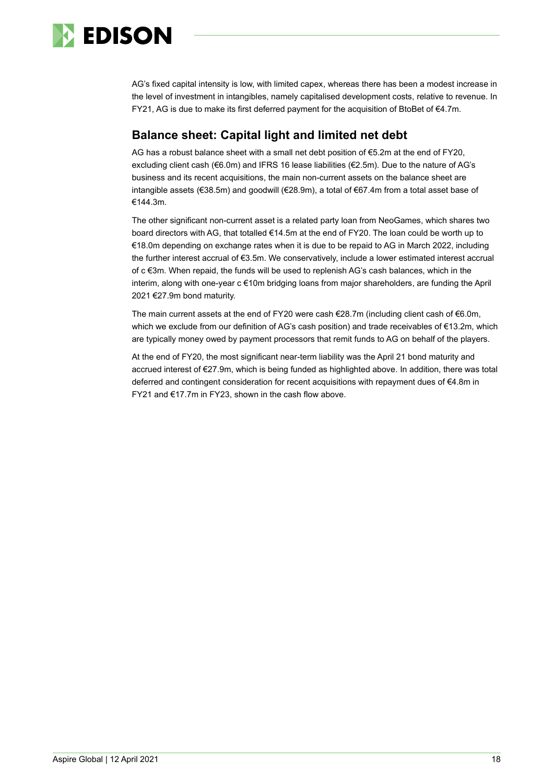

AG's fixed capital intensity is low, with limited capex, whereas there has been a modest increase in the level of investment in intangibles, namely capitalised development costs, relative to revenue. In FY21, AG is due to make its first deferred payment for the acquisition of BtoBet of €4.7m.

## **Balance sheet: Capital light and limited net debt**

AG has a robust balance sheet with a small net debt position of €5.2m at the end of FY20, excluding client cash (€6.0m) and IFRS 16 lease liabilities (€2.5m). Due to the nature of AG's business and its recent acquisitions, the main non-current assets on the balance sheet are intangible assets (€38.5m) and goodwill (€28.9m), a total of €67.4m from a total asset base of €144.3m.

The other significant non-current asset is a related party loan from NeoGames, which shares two board directors with AG, that totalled €14.5m at the end of FY20. The loan could be worth up to €18.0m depending on exchange rates when it is due to be repaid to AG in March 2022, including the further interest accrual of €3.5m. We conservatively, include a lower estimated interest accrual of c €3m. When repaid, the funds will be used to replenish AG's cash balances, which in the interim, along with one-year c €10m bridging loans from major shareholders, are funding the April 2021 €27.9m bond maturity.

The main current assets at the end of FY20 were cash €28.7m (including client cash of €6.0m, which we exclude from our definition of AG's cash position) and trade receivables of €13.2m, which are typically money owed by payment processors that remit funds to AG on behalf of the players.

At the end of FY20, the most significant near-term liability was the April 21 bond maturity and accrued interest of €27.9m, which is being funded as highlighted above. In addition, there was total deferred and contingent consideration for recent acquisitions with repayment dues of €4.8m in FY21 and €17.7m in FY23, shown in the cash flow above.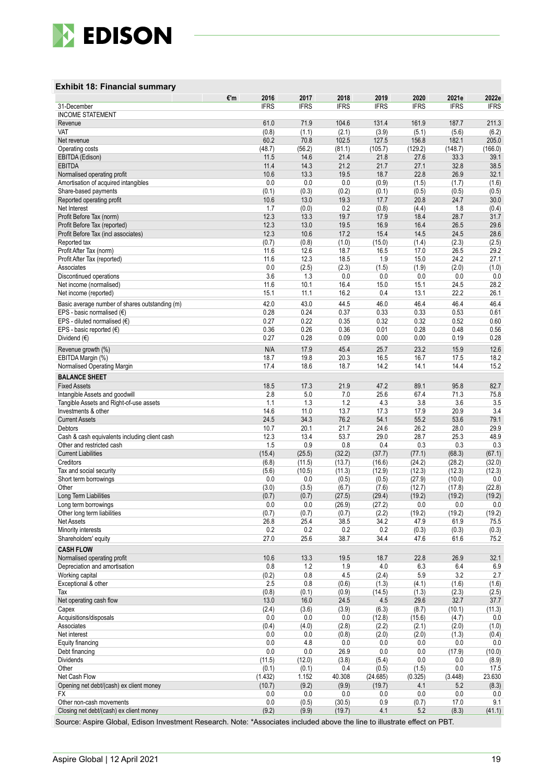

#### **Exhibit 18: Financial summary**

| <b>INCOME STATEMENT</b><br>61.0<br>71.9<br>104.6<br>131.4<br>161.9<br>187.7<br>211.3<br>Revenue<br>(0.8)<br>(3.9)<br>VAT<br>(1.1)<br>(2.1)<br>(5.1)<br>(5.6)<br>(6.2)<br>60.2<br>102.5<br>70.8<br>127.5<br>156.8<br>182.1<br>205.0<br>Net revenue<br>(56.2)<br>(81.1)<br>(48.7)<br>(105.7)<br>(129.2)<br>(148.7)<br>(166.0)<br>Operating costs<br>21.4<br>11.5<br>14.6<br>21.8<br>27.6<br>33.3<br>39.1<br>EBITDA (Edison)<br>38.5<br><b>EBITDA</b><br>11.4<br>14.3<br>21.2<br>21.7<br>27.1<br>32.8<br>22.8<br>26.9<br>32.1<br>Normalised operating profit<br>10.6<br>13.3<br>19.5<br>18.7<br>0.0<br>Amortisation of acquired intangibles<br>0.0<br>0.0<br>(0.9)<br>(1.5)<br>(1.7)<br>(1.6)<br>Share-based payments<br>(0.1)<br>(0.3)<br>(0.2)<br>(0.1)<br>(0.5)<br>(0.5)<br>(0.5)<br>10.6<br>13.0<br>19.3<br>20.8<br>24.7<br>30.0<br>Reported operating profit<br>17.7<br>0.2<br>1.8<br>Net Interest<br>1.7<br>(0.0)<br>(0.8)<br>(4.4)<br>(0.4)<br>28.7<br>Profit Before Tax (norm)<br>12.3<br>19.7<br>17.9<br>31.7<br>13.3<br>18.4<br>12.3<br>13.0<br>19.5<br>26.5<br>29.6<br>16.9<br>16.4<br>Profit Before Tax (reported)<br>12.3<br>10.6<br>17.2<br>15.4<br>14.5<br>24.5<br>28.6<br>Profit Before Tax (incl associates)<br>(0.7)<br>(0.8)<br>(1.0)<br>(2.3)<br>(2.5)<br>Reported tax<br>(15.0)<br>(1.4)<br>Profit After Tax (norm)<br>11.6<br>12.6<br>18.7<br>16.5<br>17.0<br>26.5<br>29.2<br>12.3<br>1.9<br>24.2<br>11.6<br>18.5<br>15.0<br>27.1<br>Profit After Tax (reported)<br>0.0<br>(2.5)<br>(2.3)<br>(1.5)<br>(1.9)<br>(2.0)<br>(1.0)<br>Associates<br>3.6<br>1.3<br>0.0<br>0.0<br>0.0<br>0.0<br>0.0<br>Discontinued operations<br>11.6<br>10.1<br>16.4<br>24.5<br>28.2<br>Net income (normalised)<br>15.0<br>15.1<br>11.1<br>16.2<br>13.1<br>22.2<br>15.1<br>0.4<br>26.1<br>Net income (reported)<br>42.0<br>46.4<br>43.0<br>44.5<br>46.0<br>46.4<br>46.4<br>Basic average number of shares outstanding (m)<br>0.24<br>0.37<br>0.33<br>0.53<br>0.28<br>0.33<br>0.61<br>EPS - basic normalised $(€)$<br>0.27<br>0.22<br>0.32<br>0.52<br>EPS - diluted normalised $(€)$<br>0.35<br>0.32<br>0.60<br>0.26<br>0.28<br>0.48<br>0.56<br>EPS - basic reported (€)<br>0.36<br>0.36<br>0.01<br>0.28<br>Dividend $(\epsilon)$<br>0.27<br>0.09<br>0.00<br>0.00<br>0.19<br>0.28<br>N/A<br>45.4<br>25.7<br>23.2<br>15.9<br>12.6<br>Revenue growth (%)<br>17.9<br>20.3<br>16.7<br>17.5<br>18.2<br>EBITDA Margin (%)<br>18.7<br>19.8<br>16.5<br>14.4<br>17.4<br>18.6<br>18.7<br>14.2<br>14.1<br>15.2<br>Normalised Operating Margin<br><b>BALANCE SHEET</b><br>89.1<br><b>Fixed Assets</b><br>18.5<br>17.3<br>21.9<br>47.2<br>95.8<br>82.7<br>2.8<br>5.0<br>25.6<br>71.3<br>Intangible Assets and goodwill<br>7.0<br>67.4<br>75.8<br>1.3<br>1.2<br>4.3<br>3.8<br>3.6<br>Tangible Assets and Right-of-use assets<br>1.1<br>3.5<br>14.6<br>11.0<br>13.7<br>20.9<br>3.4<br>17.3<br>17.9<br>Investments & other<br>24.5<br>34.3<br>55.2<br>53.6<br>76.2<br>54.1<br>79.1<br><b>Current Assets</b><br>20.1<br>29.9<br>10.7<br>21.7<br>24.6<br>26.2<br>28.0<br>Debtors<br>12.3<br>53.7<br>29.0<br>28.7<br>25.3<br>48.9<br>13.4<br>Cash & cash equivalents including client cash<br>0.9<br>$0.8\,$<br>Other and restricted cash<br>1.5<br>0.4<br>0.3<br>0.3<br>0.3<br><b>Current Liabilities</b><br>(15.4)<br>(25.5)<br>(32.2)<br>(37.7)<br>(77.1)<br>(68.3)<br>(67.1)<br>Creditors<br>(6.8)<br>(13.7)<br>(24.2)<br>(28.2)<br>(32.0)<br>(11.5)<br>(16.6)<br>(11.3)<br>Tax and social security<br>(5.6)<br>(10.5)<br>(12.9)<br>(12.3)<br>(12.3)<br>(12.3)<br>(27.9)<br>0.0<br>Short term borrowings<br>0.0<br>0.0<br>(0.5)<br>(0.5)<br>(10.0)<br>(3.0)<br>(12.7)<br>(22.8)<br>Other<br>(3.5)<br>(6.7)<br>(7.6)<br>(17.8)<br>Long Term Liabilities<br>(0.7)<br>(0.7)<br>(27.5)<br>(29.4)<br>(19.2)<br>(19.2)<br>(19.2)<br>0.0<br>0.0<br>(26.9)<br>(27.2)<br>0.0<br>0.0<br>0.0<br>Long term borrowings<br>Other long term liabilities<br>(0.7)<br>(0.7)<br>(0.7)<br>(2.2)<br>(19.2)<br>(19.2)<br>(19.2)<br>26.8<br>25.4<br>38.5<br>34.2<br>47.9<br>61.9<br>75.5<br><b>Net Assets</b><br>0.2<br>Minority interests<br>0.2<br>0.2<br>0.2<br>(0.3)<br>(0.3)<br>(0.3)<br>27.0<br>25.6<br>38.7<br>34.4<br>47.6<br>61.6<br>75.2<br>Shareholders' equity<br><b>CASH FLOW</b><br>10.6<br>19.5<br>22.8<br>26.9<br>32.1<br>Normalised operating profit<br>13.3<br>18.7<br>0.8<br>1.2<br>1.9<br>4.0<br>6.3<br>6.4<br>6.9<br>Depreciation and amortisation<br>(0.2)<br>5.9<br>3.2<br>2.7<br>Working capital<br>0.8<br>4.5<br>(2.4)<br>2.5<br>Exceptional & other<br>0.8<br>(0.6)<br>(1.3)<br>(4.1)<br>(1.6)<br>(1.6)<br>(0.8)<br>(0.1)<br>(2.3)<br>(2.5)<br>Tax<br>(0.9)<br>(14.5)<br>(1.3)<br>13.0<br>4.5<br>32.7<br>16.0<br>24.5<br>29.6<br>37.7<br>Net operating cash flow<br>(2.4)<br>(3.6)<br>(3.9)<br>(6.3)<br>(8.7)<br>(10.1)<br>(11.3)<br>Capex<br>0.0<br>Acquisitions/disposals<br>0.0<br>0.0<br>0.0<br>(4.7)<br>(12.8)<br>(15.6)<br>(0.4)<br>(1.0)<br>(4.0)<br>(2.8)<br>(2.1)<br>(2.0)<br>Associates<br>(2.2)<br>Net interest<br>0.0<br>0.0<br>(0.8)<br>(2.0)<br>(1.3)<br>(0.4)<br>(2.0)<br>0.0<br>4.8<br>0.0<br>0.0<br>0.0<br>0.0<br>0.0<br>Equity financing<br>0.0<br>0.0<br>26.9<br>0.0<br>0.0<br>(17.9)<br>(10.0)<br>Debt financing<br>(11.5)<br>0.0<br><b>Dividends</b><br>(12.0)<br>(3.8)<br>(5.4)<br>0.0<br>(8.9)<br>Other<br>(0.1)<br>(0.1)<br>(0.5)<br>(1.5)<br>0.0<br>17.5<br>0.4<br>Net Cash Flow<br>(1.432)<br>1.152<br>40.308<br>(24.685)<br>(0.325)<br>(3.448)<br>23.630<br>Opening net debt/(cash) ex client money<br>(10.7)<br>(9.2)<br>4.1<br>(8.3)<br>(9.9)<br>(19.7)<br>5.2<br>0.0<br>0.0<br>0.0<br>0.0<br>0.0<br>0.0<br>FX<br>0.0<br>Other non-cash movements<br>0.0<br>9.1<br>(0.5)<br>(30.5)<br>0.9<br>(0.7)<br>17.0<br>(9.2)<br>4.1<br>5.2<br>Closing net debt/(cash) ex client money<br>(9.9)<br>(19.7)<br>(8.3)<br>(41.1)<br>Source: Aspire Global, Edison Investment Research. Note: *Associates included above the line to illustrate effect on PBT. |             | €'m | 2016        | 2017        | 2018        | 2019        | 2020        | 2021e       | 2022e       |
|----------------------------------------------------------------------------------------------------------------------------------------------------------------------------------------------------------------------------------------------------------------------------------------------------------------------------------------------------------------------------------------------------------------------------------------------------------------------------------------------------------------------------------------------------------------------------------------------------------------------------------------------------------------------------------------------------------------------------------------------------------------------------------------------------------------------------------------------------------------------------------------------------------------------------------------------------------------------------------------------------------------------------------------------------------------------------------------------------------------------------------------------------------------------------------------------------------------------------------------------------------------------------------------------------------------------------------------------------------------------------------------------------------------------------------------------------------------------------------------------------------------------------------------------------------------------------------------------------------------------------------------------------------------------------------------------------------------------------------------------------------------------------------------------------------------------------------------------------------------------------------------------------------------------------------------------------------------------------------------------------------------------------------------------------------------------------------------------------------------------------------------------------------------------------------------------------------------------------------------------------------------------------------------------------------------------------------------------------------------------------------------------------------------------------------------------------------------------------------------------------------------------------------------------------------------------------------------------------------------------------------------------------------------------------------------------------------------------------------------------------------------------------------------------------------------------------------------------------------------------------------------------------------------------------------------------------------------------------------------------------------------------------------------------------------------------------------------------------------------------------------------------------------------------------------------------------------------------------------------------------------------------------------------------------------------------------------------------------------------------------------------------------------------------------------------------------------------------------------------------------------------------------------------------------------------------------------------------------------------------------------------------------------------------------------------------------------------------------------------------------------------------------------------------------------------------------------------------------------------------------------------------------------------------------------------------------------------------------------------------------------------------------------------------------------------------------------------------------------------------------------------------------------------------------------------------------------------------------------------------------------------------------------------------------------------------------------------------------------------------------------------------------------------------------------------------------------------------------------------------------------------------------------------------------------------------------------------------------------------------------------------------------------------------------------------------------------------------------------------------------------------------------------------------------------------------------------------------------------------------------------------------------------------------------------------------------------------------------------------------------------------------------------------------------------------------------------------------------------------------------------------------------------------------------------------------------------------------------------------------------------------------------------------------------------------------------------------------------------------------------------------------------------------------------------------------------------------------------------------------------------------------------------------------------------------------------------------------------------------------------------------------------------------------------------------------------------------------------------------------------------------------------------------------------------------------------------------------------------------------------------------------------------------------------------------------------------------|-------------|-----|-------------|-------------|-------------|-------------|-------------|-------------|-------------|
|                                                                                                                                                                                                                                                                                                                                                                                                                                                                                                                                                                                                                                                                                                                                                                                                                                                                                                                                                                                                                                                                                                                                                                                                                                                                                                                                                                                                                                                                                                                                                                                                                                                                                                                                                                                                                                                                                                                                                                                                                                                                                                                                                                                                                                                                                                                                                                                                                                                                                                                                                                                                                                                                                                                                                                                                                                                                                                                                                                                                                                                                                                                                                                                                                                                                                                                                                                                                                                                                                                                                                                                                                                                                                                                                                                                                                                                                                                                                                                                                                                                                                                                                                                                                                                                                                                                                                                                                                                                                                                                                                                                                                                                                                                                                                                                                                                                                                                                                                                                                                                                                                                                                                                                                                                                                                                                                                                                                                                                                                                                                                                                                                                                                                                                                                                                                                                                                                                                                                                | 31-December |     | <b>IFRS</b> | <b>IFRS</b> | <b>IFRS</b> | <b>IFRS</b> | <b>IFRS</b> | <b>IFRS</b> | <b>IFRS</b> |
|                                                                                                                                                                                                                                                                                                                                                                                                                                                                                                                                                                                                                                                                                                                                                                                                                                                                                                                                                                                                                                                                                                                                                                                                                                                                                                                                                                                                                                                                                                                                                                                                                                                                                                                                                                                                                                                                                                                                                                                                                                                                                                                                                                                                                                                                                                                                                                                                                                                                                                                                                                                                                                                                                                                                                                                                                                                                                                                                                                                                                                                                                                                                                                                                                                                                                                                                                                                                                                                                                                                                                                                                                                                                                                                                                                                                                                                                                                                                                                                                                                                                                                                                                                                                                                                                                                                                                                                                                                                                                                                                                                                                                                                                                                                                                                                                                                                                                                                                                                                                                                                                                                                                                                                                                                                                                                                                                                                                                                                                                                                                                                                                                                                                                                                                                                                                                                                                                                                                                                |             |     |             |             |             |             |             |             |             |
|                                                                                                                                                                                                                                                                                                                                                                                                                                                                                                                                                                                                                                                                                                                                                                                                                                                                                                                                                                                                                                                                                                                                                                                                                                                                                                                                                                                                                                                                                                                                                                                                                                                                                                                                                                                                                                                                                                                                                                                                                                                                                                                                                                                                                                                                                                                                                                                                                                                                                                                                                                                                                                                                                                                                                                                                                                                                                                                                                                                                                                                                                                                                                                                                                                                                                                                                                                                                                                                                                                                                                                                                                                                                                                                                                                                                                                                                                                                                                                                                                                                                                                                                                                                                                                                                                                                                                                                                                                                                                                                                                                                                                                                                                                                                                                                                                                                                                                                                                                                                                                                                                                                                                                                                                                                                                                                                                                                                                                                                                                                                                                                                                                                                                                                                                                                                                                                                                                                                                                |             |     |             |             |             |             |             |             |             |
|                                                                                                                                                                                                                                                                                                                                                                                                                                                                                                                                                                                                                                                                                                                                                                                                                                                                                                                                                                                                                                                                                                                                                                                                                                                                                                                                                                                                                                                                                                                                                                                                                                                                                                                                                                                                                                                                                                                                                                                                                                                                                                                                                                                                                                                                                                                                                                                                                                                                                                                                                                                                                                                                                                                                                                                                                                                                                                                                                                                                                                                                                                                                                                                                                                                                                                                                                                                                                                                                                                                                                                                                                                                                                                                                                                                                                                                                                                                                                                                                                                                                                                                                                                                                                                                                                                                                                                                                                                                                                                                                                                                                                                                                                                                                                                                                                                                                                                                                                                                                                                                                                                                                                                                                                                                                                                                                                                                                                                                                                                                                                                                                                                                                                                                                                                                                                                                                                                                                                                |             |     |             |             |             |             |             |             |             |
|                                                                                                                                                                                                                                                                                                                                                                                                                                                                                                                                                                                                                                                                                                                                                                                                                                                                                                                                                                                                                                                                                                                                                                                                                                                                                                                                                                                                                                                                                                                                                                                                                                                                                                                                                                                                                                                                                                                                                                                                                                                                                                                                                                                                                                                                                                                                                                                                                                                                                                                                                                                                                                                                                                                                                                                                                                                                                                                                                                                                                                                                                                                                                                                                                                                                                                                                                                                                                                                                                                                                                                                                                                                                                                                                                                                                                                                                                                                                                                                                                                                                                                                                                                                                                                                                                                                                                                                                                                                                                                                                                                                                                                                                                                                                                                                                                                                                                                                                                                                                                                                                                                                                                                                                                                                                                                                                                                                                                                                                                                                                                                                                                                                                                                                                                                                                                                                                                                                                                                |             |     |             |             |             |             |             |             |             |
|                                                                                                                                                                                                                                                                                                                                                                                                                                                                                                                                                                                                                                                                                                                                                                                                                                                                                                                                                                                                                                                                                                                                                                                                                                                                                                                                                                                                                                                                                                                                                                                                                                                                                                                                                                                                                                                                                                                                                                                                                                                                                                                                                                                                                                                                                                                                                                                                                                                                                                                                                                                                                                                                                                                                                                                                                                                                                                                                                                                                                                                                                                                                                                                                                                                                                                                                                                                                                                                                                                                                                                                                                                                                                                                                                                                                                                                                                                                                                                                                                                                                                                                                                                                                                                                                                                                                                                                                                                                                                                                                                                                                                                                                                                                                                                                                                                                                                                                                                                                                                                                                                                                                                                                                                                                                                                                                                                                                                                                                                                                                                                                                                                                                                                                                                                                                                                                                                                                                                                |             |     |             |             |             |             |             |             |             |
|                                                                                                                                                                                                                                                                                                                                                                                                                                                                                                                                                                                                                                                                                                                                                                                                                                                                                                                                                                                                                                                                                                                                                                                                                                                                                                                                                                                                                                                                                                                                                                                                                                                                                                                                                                                                                                                                                                                                                                                                                                                                                                                                                                                                                                                                                                                                                                                                                                                                                                                                                                                                                                                                                                                                                                                                                                                                                                                                                                                                                                                                                                                                                                                                                                                                                                                                                                                                                                                                                                                                                                                                                                                                                                                                                                                                                                                                                                                                                                                                                                                                                                                                                                                                                                                                                                                                                                                                                                                                                                                                                                                                                                                                                                                                                                                                                                                                                                                                                                                                                                                                                                                                                                                                                                                                                                                                                                                                                                                                                                                                                                                                                                                                                                                                                                                                                                                                                                                                                                |             |     |             |             |             |             |             |             |             |
|                                                                                                                                                                                                                                                                                                                                                                                                                                                                                                                                                                                                                                                                                                                                                                                                                                                                                                                                                                                                                                                                                                                                                                                                                                                                                                                                                                                                                                                                                                                                                                                                                                                                                                                                                                                                                                                                                                                                                                                                                                                                                                                                                                                                                                                                                                                                                                                                                                                                                                                                                                                                                                                                                                                                                                                                                                                                                                                                                                                                                                                                                                                                                                                                                                                                                                                                                                                                                                                                                                                                                                                                                                                                                                                                                                                                                                                                                                                                                                                                                                                                                                                                                                                                                                                                                                                                                                                                                                                                                                                                                                                                                                                                                                                                                                                                                                                                                                                                                                                                                                                                                                                                                                                                                                                                                                                                                                                                                                                                                                                                                                                                                                                                                                                                                                                                                                                                                                                                                                |             |     |             |             |             |             |             |             |             |
|                                                                                                                                                                                                                                                                                                                                                                                                                                                                                                                                                                                                                                                                                                                                                                                                                                                                                                                                                                                                                                                                                                                                                                                                                                                                                                                                                                                                                                                                                                                                                                                                                                                                                                                                                                                                                                                                                                                                                                                                                                                                                                                                                                                                                                                                                                                                                                                                                                                                                                                                                                                                                                                                                                                                                                                                                                                                                                                                                                                                                                                                                                                                                                                                                                                                                                                                                                                                                                                                                                                                                                                                                                                                                                                                                                                                                                                                                                                                                                                                                                                                                                                                                                                                                                                                                                                                                                                                                                                                                                                                                                                                                                                                                                                                                                                                                                                                                                                                                                                                                                                                                                                                                                                                                                                                                                                                                                                                                                                                                                                                                                                                                                                                                                                                                                                                                                                                                                                                                                |             |     |             |             |             |             |             |             |             |
|                                                                                                                                                                                                                                                                                                                                                                                                                                                                                                                                                                                                                                                                                                                                                                                                                                                                                                                                                                                                                                                                                                                                                                                                                                                                                                                                                                                                                                                                                                                                                                                                                                                                                                                                                                                                                                                                                                                                                                                                                                                                                                                                                                                                                                                                                                                                                                                                                                                                                                                                                                                                                                                                                                                                                                                                                                                                                                                                                                                                                                                                                                                                                                                                                                                                                                                                                                                                                                                                                                                                                                                                                                                                                                                                                                                                                                                                                                                                                                                                                                                                                                                                                                                                                                                                                                                                                                                                                                                                                                                                                                                                                                                                                                                                                                                                                                                                                                                                                                                                                                                                                                                                                                                                                                                                                                                                                                                                                                                                                                                                                                                                                                                                                                                                                                                                                                                                                                                                                                |             |     |             |             |             |             |             |             |             |
|                                                                                                                                                                                                                                                                                                                                                                                                                                                                                                                                                                                                                                                                                                                                                                                                                                                                                                                                                                                                                                                                                                                                                                                                                                                                                                                                                                                                                                                                                                                                                                                                                                                                                                                                                                                                                                                                                                                                                                                                                                                                                                                                                                                                                                                                                                                                                                                                                                                                                                                                                                                                                                                                                                                                                                                                                                                                                                                                                                                                                                                                                                                                                                                                                                                                                                                                                                                                                                                                                                                                                                                                                                                                                                                                                                                                                                                                                                                                                                                                                                                                                                                                                                                                                                                                                                                                                                                                                                                                                                                                                                                                                                                                                                                                                                                                                                                                                                                                                                                                                                                                                                                                                                                                                                                                                                                                                                                                                                                                                                                                                                                                                                                                                                                                                                                                                                                                                                                                                                |             |     |             |             |             |             |             |             |             |
|                                                                                                                                                                                                                                                                                                                                                                                                                                                                                                                                                                                                                                                                                                                                                                                                                                                                                                                                                                                                                                                                                                                                                                                                                                                                                                                                                                                                                                                                                                                                                                                                                                                                                                                                                                                                                                                                                                                                                                                                                                                                                                                                                                                                                                                                                                                                                                                                                                                                                                                                                                                                                                                                                                                                                                                                                                                                                                                                                                                                                                                                                                                                                                                                                                                                                                                                                                                                                                                                                                                                                                                                                                                                                                                                                                                                                                                                                                                                                                                                                                                                                                                                                                                                                                                                                                                                                                                                                                                                                                                                                                                                                                                                                                                                                                                                                                                                                                                                                                                                                                                                                                                                                                                                                                                                                                                                                                                                                                                                                                                                                                                                                                                                                                                                                                                                                                                                                                                                                                |             |     |             |             |             |             |             |             |             |
|                                                                                                                                                                                                                                                                                                                                                                                                                                                                                                                                                                                                                                                                                                                                                                                                                                                                                                                                                                                                                                                                                                                                                                                                                                                                                                                                                                                                                                                                                                                                                                                                                                                                                                                                                                                                                                                                                                                                                                                                                                                                                                                                                                                                                                                                                                                                                                                                                                                                                                                                                                                                                                                                                                                                                                                                                                                                                                                                                                                                                                                                                                                                                                                                                                                                                                                                                                                                                                                                                                                                                                                                                                                                                                                                                                                                                                                                                                                                                                                                                                                                                                                                                                                                                                                                                                                                                                                                                                                                                                                                                                                                                                                                                                                                                                                                                                                                                                                                                                                                                                                                                                                                                                                                                                                                                                                                                                                                                                                                                                                                                                                                                                                                                                                                                                                                                                                                                                                                                                |             |     |             |             |             |             |             |             |             |
|                                                                                                                                                                                                                                                                                                                                                                                                                                                                                                                                                                                                                                                                                                                                                                                                                                                                                                                                                                                                                                                                                                                                                                                                                                                                                                                                                                                                                                                                                                                                                                                                                                                                                                                                                                                                                                                                                                                                                                                                                                                                                                                                                                                                                                                                                                                                                                                                                                                                                                                                                                                                                                                                                                                                                                                                                                                                                                                                                                                                                                                                                                                                                                                                                                                                                                                                                                                                                                                                                                                                                                                                                                                                                                                                                                                                                                                                                                                                                                                                                                                                                                                                                                                                                                                                                                                                                                                                                                                                                                                                                                                                                                                                                                                                                                                                                                                                                                                                                                                                                                                                                                                                                                                                                                                                                                                                                                                                                                                                                                                                                                                                                                                                                                                                                                                                                                                                                                                                                                |             |     |             |             |             |             |             |             |             |
|                                                                                                                                                                                                                                                                                                                                                                                                                                                                                                                                                                                                                                                                                                                                                                                                                                                                                                                                                                                                                                                                                                                                                                                                                                                                                                                                                                                                                                                                                                                                                                                                                                                                                                                                                                                                                                                                                                                                                                                                                                                                                                                                                                                                                                                                                                                                                                                                                                                                                                                                                                                                                                                                                                                                                                                                                                                                                                                                                                                                                                                                                                                                                                                                                                                                                                                                                                                                                                                                                                                                                                                                                                                                                                                                                                                                                                                                                                                                                                                                                                                                                                                                                                                                                                                                                                                                                                                                                                                                                                                                                                                                                                                                                                                                                                                                                                                                                                                                                                                                                                                                                                                                                                                                                                                                                                                                                                                                                                                                                                                                                                                                                                                                                                                                                                                                                                                                                                                                                                |             |     |             |             |             |             |             |             |             |
|                                                                                                                                                                                                                                                                                                                                                                                                                                                                                                                                                                                                                                                                                                                                                                                                                                                                                                                                                                                                                                                                                                                                                                                                                                                                                                                                                                                                                                                                                                                                                                                                                                                                                                                                                                                                                                                                                                                                                                                                                                                                                                                                                                                                                                                                                                                                                                                                                                                                                                                                                                                                                                                                                                                                                                                                                                                                                                                                                                                                                                                                                                                                                                                                                                                                                                                                                                                                                                                                                                                                                                                                                                                                                                                                                                                                                                                                                                                                                                                                                                                                                                                                                                                                                                                                                                                                                                                                                                                                                                                                                                                                                                                                                                                                                                                                                                                                                                                                                                                                                                                                                                                                                                                                                                                                                                                                                                                                                                                                                                                                                                                                                                                                                                                                                                                                                                                                                                                                                                |             |     |             |             |             |             |             |             |             |
|                                                                                                                                                                                                                                                                                                                                                                                                                                                                                                                                                                                                                                                                                                                                                                                                                                                                                                                                                                                                                                                                                                                                                                                                                                                                                                                                                                                                                                                                                                                                                                                                                                                                                                                                                                                                                                                                                                                                                                                                                                                                                                                                                                                                                                                                                                                                                                                                                                                                                                                                                                                                                                                                                                                                                                                                                                                                                                                                                                                                                                                                                                                                                                                                                                                                                                                                                                                                                                                                                                                                                                                                                                                                                                                                                                                                                                                                                                                                                                                                                                                                                                                                                                                                                                                                                                                                                                                                                                                                                                                                                                                                                                                                                                                                                                                                                                                                                                                                                                                                                                                                                                                                                                                                                                                                                                                                                                                                                                                                                                                                                                                                                                                                                                                                                                                                                                                                                                                                                                |             |     |             |             |             |             |             |             |             |
|                                                                                                                                                                                                                                                                                                                                                                                                                                                                                                                                                                                                                                                                                                                                                                                                                                                                                                                                                                                                                                                                                                                                                                                                                                                                                                                                                                                                                                                                                                                                                                                                                                                                                                                                                                                                                                                                                                                                                                                                                                                                                                                                                                                                                                                                                                                                                                                                                                                                                                                                                                                                                                                                                                                                                                                                                                                                                                                                                                                                                                                                                                                                                                                                                                                                                                                                                                                                                                                                                                                                                                                                                                                                                                                                                                                                                                                                                                                                                                                                                                                                                                                                                                                                                                                                                                                                                                                                                                                                                                                                                                                                                                                                                                                                                                                                                                                                                                                                                                                                                                                                                                                                                                                                                                                                                                                                                                                                                                                                                                                                                                                                                                                                                                                                                                                                                                                                                                                                                                |             |     |             |             |             |             |             |             |             |
|                                                                                                                                                                                                                                                                                                                                                                                                                                                                                                                                                                                                                                                                                                                                                                                                                                                                                                                                                                                                                                                                                                                                                                                                                                                                                                                                                                                                                                                                                                                                                                                                                                                                                                                                                                                                                                                                                                                                                                                                                                                                                                                                                                                                                                                                                                                                                                                                                                                                                                                                                                                                                                                                                                                                                                                                                                                                                                                                                                                                                                                                                                                                                                                                                                                                                                                                                                                                                                                                                                                                                                                                                                                                                                                                                                                                                                                                                                                                                                                                                                                                                                                                                                                                                                                                                                                                                                                                                                                                                                                                                                                                                                                                                                                                                                                                                                                                                                                                                                                                                                                                                                                                                                                                                                                                                                                                                                                                                                                                                                                                                                                                                                                                                                                                                                                                                                                                                                                                                                |             |     |             |             |             |             |             |             |             |
|                                                                                                                                                                                                                                                                                                                                                                                                                                                                                                                                                                                                                                                                                                                                                                                                                                                                                                                                                                                                                                                                                                                                                                                                                                                                                                                                                                                                                                                                                                                                                                                                                                                                                                                                                                                                                                                                                                                                                                                                                                                                                                                                                                                                                                                                                                                                                                                                                                                                                                                                                                                                                                                                                                                                                                                                                                                                                                                                                                                                                                                                                                                                                                                                                                                                                                                                                                                                                                                                                                                                                                                                                                                                                                                                                                                                                                                                                                                                                                                                                                                                                                                                                                                                                                                                                                                                                                                                                                                                                                                                                                                                                                                                                                                                                                                                                                                                                                                                                                                                                                                                                                                                                                                                                                                                                                                                                                                                                                                                                                                                                                                                                                                                                                                                                                                                                                                                                                                                                                |             |     |             |             |             |             |             |             |             |
|                                                                                                                                                                                                                                                                                                                                                                                                                                                                                                                                                                                                                                                                                                                                                                                                                                                                                                                                                                                                                                                                                                                                                                                                                                                                                                                                                                                                                                                                                                                                                                                                                                                                                                                                                                                                                                                                                                                                                                                                                                                                                                                                                                                                                                                                                                                                                                                                                                                                                                                                                                                                                                                                                                                                                                                                                                                                                                                                                                                                                                                                                                                                                                                                                                                                                                                                                                                                                                                                                                                                                                                                                                                                                                                                                                                                                                                                                                                                                                                                                                                                                                                                                                                                                                                                                                                                                                                                                                                                                                                                                                                                                                                                                                                                                                                                                                                                                                                                                                                                                                                                                                                                                                                                                                                                                                                                                                                                                                                                                                                                                                                                                                                                                                                                                                                                                                                                                                                                                                |             |     |             |             |             |             |             |             |             |
|                                                                                                                                                                                                                                                                                                                                                                                                                                                                                                                                                                                                                                                                                                                                                                                                                                                                                                                                                                                                                                                                                                                                                                                                                                                                                                                                                                                                                                                                                                                                                                                                                                                                                                                                                                                                                                                                                                                                                                                                                                                                                                                                                                                                                                                                                                                                                                                                                                                                                                                                                                                                                                                                                                                                                                                                                                                                                                                                                                                                                                                                                                                                                                                                                                                                                                                                                                                                                                                                                                                                                                                                                                                                                                                                                                                                                                                                                                                                                                                                                                                                                                                                                                                                                                                                                                                                                                                                                                                                                                                                                                                                                                                                                                                                                                                                                                                                                                                                                                                                                                                                                                                                                                                                                                                                                                                                                                                                                                                                                                                                                                                                                                                                                                                                                                                                                                                                                                                                                                |             |     |             |             |             |             |             |             |             |
|                                                                                                                                                                                                                                                                                                                                                                                                                                                                                                                                                                                                                                                                                                                                                                                                                                                                                                                                                                                                                                                                                                                                                                                                                                                                                                                                                                                                                                                                                                                                                                                                                                                                                                                                                                                                                                                                                                                                                                                                                                                                                                                                                                                                                                                                                                                                                                                                                                                                                                                                                                                                                                                                                                                                                                                                                                                                                                                                                                                                                                                                                                                                                                                                                                                                                                                                                                                                                                                                                                                                                                                                                                                                                                                                                                                                                                                                                                                                                                                                                                                                                                                                                                                                                                                                                                                                                                                                                                                                                                                                                                                                                                                                                                                                                                                                                                                                                                                                                                                                                                                                                                                                                                                                                                                                                                                                                                                                                                                                                                                                                                                                                                                                                                                                                                                                                                                                                                                                                                |             |     |             |             |             |             |             |             |             |
|                                                                                                                                                                                                                                                                                                                                                                                                                                                                                                                                                                                                                                                                                                                                                                                                                                                                                                                                                                                                                                                                                                                                                                                                                                                                                                                                                                                                                                                                                                                                                                                                                                                                                                                                                                                                                                                                                                                                                                                                                                                                                                                                                                                                                                                                                                                                                                                                                                                                                                                                                                                                                                                                                                                                                                                                                                                                                                                                                                                                                                                                                                                                                                                                                                                                                                                                                                                                                                                                                                                                                                                                                                                                                                                                                                                                                                                                                                                                                                                                                                                                                                                                                                                                                                                                                                                                                                                                                                                                                                                                                                                                                                                                                                                                                                                                                                                                                                                                                                                                                                                                                                                                                                                                                                                                                                                                                                                                                                                                                                                                                                                                                                                                                                                                                                                                                                                                                                                                                                |             |     |             |             |             |             |             |             |             |
|                                                                                                                                                                                                                                                                                                                                                                                                                                                                                                                                                                                                                                                                                                                                                                                                                                                                                                                                                                                                                                                                                                                                                                                                                                                                                                                                                                                                                                                                                                                                                                                                                                                                                                                                                                                                                                                                                                                                                                                                                                                                                                                                                                                                                                                                                                                                                                                                                                                                                                                                                                                                                                                                                                                                                                                                                                                                                                                                                                                                                                                                                                                                                                                                                                                                                                                                                                                                                                                                                                                                                                                                                                                                                                                                                                                                                                                                                                                                                                                                                                                                                                                                                                                                                                                                                                                                                                                                                                                                                                                                                                                                                                                                                                                                                                                                                                                                                                                                                                                                                                                                                                                                                                                                                                                                                                                                                                                                                                                                                                                                                                                                                                                                                                                                                                                                                                                                                                                                                                |             |     |             |             |             |             |             |             |             |
|                                                                                                                                                                                                                                                                                                                                                                                                                                                                                                                                                                                                                                                                                                                                                                                                                                                                                                                                                                                                                                                                                                                                                                                                                                                                                                                                                                                                                                                                                                                                                                                                                                                                                                                                                                                                                                                                                                                                                                                                                                                                                                                                                                                                                                                                                                                                                                                                                                                                                                                                                                                                                                                                                                                                                                                                                                                                                                                                                                                                                                                                                                                                                                                                                                                                                                                                                                                                                                                                                                                                                                                                                                                                                                                                                                                                                                                                                                                                                                                                                                                                                                                                                                                                                                                                                                                                                                                                                                                                                                                                                                                                                                                                                                                                                                                                                                                                                                                                                                                                                                                                                                                                                                                                                                                                                                                                                                                                                                                                                                                                                                                                                                                                                                                                                                                                                                                                                                                                                                |             |     |             |             |             |             |             |             |             |
|                                                                                                                                                                                                                                                                                                                                                                                                                                                                                                                                                                                                                                                                                                                                                                                                                                                                                                                                                                                                                                                                                                                                                                                                                                                                                                                                                                                                                                                                                                                                                                                                                                                                                                                                                                                                                                                                                                                                                                                                                                                                                                                                                                                                                                                                                                                                                                                                                                                                                                                                                                                                                                                                                                                                                                                                                                                                                                                                                                                                                                                                                                                                                                                                                                                                                                                                                                                                                                                                                                                                                                                                                                                                                                                                                                                                                                                                                                                                                                                                                                                                                                                                                                                                                                                                                                                                                                                                                                                                                                                                                                                                                                                                                                                                                                                                                                                                                                                                                                                                                                                                                                                                                                                                                                                                                                                                                                                                                                                                                                                                                                                                                                                                                                                                                                                                                                                                                                                                                                |             |     |             |             |             |             |             |             |             |
|                                                                                                                                                                                                                                                                                                                                                                                                                                                                                                                                                                                                                                                                                                                                                                                                                                                                                                                                                                                                                                                                                                                                                                                                                                                                                                                                                                                                                                                                                                                                                                                                                                                                                                                                                                                                                                                                                                                                                                                                                                                                                                                                                                                                                                                                                                                                                                                                                                                                                                                                                                                                                                                                                                                                                                                                                                                                                                                                                                                                                                                                                                                                                                                                                                                                                                                                                                                                                                                                                                                                                                                                                                                                                                                                                                                                                                                                                                                                                                                                                                                                                                                                                                                                                                                                                                                                                                                                                                                                                                                                                                                                                                                                                                                                                                                                                                                                                                                                                                                                                                                                                                                                                                                                                                                                                                                                                                                                                                                                                                                                                                                                                                                                                                                                                                                                                                                                                                                                                                |             |     |             |             |             |             |             |             |             |
|                                                                                                                                                                                                                                                                                                                                                                                                                                                                                                                                                                                                                                                                                                                                                                                                                                                                                                                                                                                                                                                                                                                                                                                                                                                                                                                                                                                                                                                                                                                                                                                                                                                                                                                                                                                                                                                                                                                                                                                                                                                                                                                                                                                                                                                                                                                                                                                                                                                                                                                                                                                                                                                                                                                                                                                                                                                                                                                                                                                                                                                                                                                                                                                                                                                                                                                                                                                                                                                                                                                                                                                                                                                                                                                                                                                                                                                                                                                                                                                                                                                                                                                                                                                                                                                                                                                                                                                                                                                                                                                                                                                                                                                                                                                                                                                                                                                                                                                                                                                                                                                                                                                                                                                                                                                                                                                                                                                                                                                                                                                                                                                                                                                                                                                                                                                                                                                                                                                                                                |             |     |             |             |             |             |             |             |             |
|                                                                                                                                                                                                                                                                                                                                                                                                                                                                                                                                                                                                                                                                                                                                                                                                                                                                                                                                                                                                                                                                                                                                                                                                                                                                                                                                                                                                                                                                                                                                                                                                                                                                                                                                                                                                                                                                                                                                                                                                                                                                                                                                                                                                                                                                                                                                                                                                                                                                                                                                                                                                                                                                                                                                                                                                                                                                                                                                                                                                                                                                                                                                                                                                                                                                                                                                                                                                                                                                                                                                                                                                                                                                                                                                                                                                                                                                                                                                                                                                                                                                                                                                                                                                                                                                                                                                                                                                                                                                                                                                                                                                                                                                                                                                                                                                                                                                                                                                                                                                                                                                                                                                                                                                                                                                                                                                                                                                                                                                                                                                                                                                                                                                                                                                                                                                                                                                                                                                                                |             |     |             |             |             |             |             |             |             |
|                                                                                                                                                                                                                                                                                                                                                                                                                                                                                                                                                                                                                                                                                                                                                                                                                                                                                                                                                                                                                                                                                                                                                                                                                                                                                                                                                                                                                                                                                                                                                                                                                                                                                                                                                                                                                                                                                                                                                                                                                                                                                                                                                                                                                                                                                                                                                                                                                                                                                                                                                                                                                                                                                                                                                                                                                                                                                                                                                                                                                                                                                                                                                                                                                                                                                                                                                                                                                                                                                                                                                                                                                                                                                                                                                                                                                                                                                                                                                                                                                                                                                                                                                                                                                                                                                                                                                                                                                                                                                                                                                                                                                                                                                                                                                                                                                                                                                                                                                                                                                                                                                                                                                                                                                                                                                                                                                                                                                                                                                                                                                                                                                                                                                                                                                                                                                                                                                                                                                                |             |     |             |             |             |             |             |             |             |
|                                                                                                                                                                                                                                                                                                                                                                                                                                                                                                                                                                                                                                                                                                                                                                                                                                                                                                                                                                                                                                                                                                                                                                                                                                                                                                                                                                                                                                                                                                                                                                                                                                                                                                                                                                                                                                                                                                                                                                                                                                                                                                                                                                                                                                                                                                                                                                                                                                                                                                                                                                                                                                                                                                                                                                                                                                                                                                                                                                                                                                                                                                                                                                                                                                                                                                                                                                                                                                                                                                                                                                                                                                                                                                                                                                                                                                                                                                                                                                                                                                                                                                                                                                                                                                                                                                                                                                                                                                                                                                                                                                                                                                                                                                                                                                                                                                                                                                                                                                                                                                                                                                                                                                                                                                                                                                                                                                                                                                                                                                                                                                                                                                                                                                                                                                                                                                                                                                                                                                |             |     |             |             |             |             |             |             |             |
|                                                                                                                                                                                                                                                                                                                                                                                                                                                                                                                                                                                                                                                                                                                                                                                                                                                                                                                                                                                                                                                                                                                                                                                                                                                                                                                                                                                                                                                                                                                                                                                                                                                                                                                                                                                                                                                                                                                                                                                                                                                                                                                                                                                                                                                                                                                                                                                                                                                                                                                                                                                                                                                                                                                                                                                                                                                                                                                                                                                                                                                                                                                                                                                                                                                                                                                                                                                                                                                                                                                                                                                                                                                                                                                                                                                                                                                                                                                                                                                                                                                                                                                                                                                                                                                                                                                                                                                                                                                                                                                                                                                                                                                                                                                                                                                                                                                                                                                                                                                                                                                                                                                                                                                                                                                                                                                                                                                                                                                                                                                                                                                                                                                                                                                                                                                                                                                                                                                                                                |             |     |             |             |             |             |             |             |             |
|                                                                                                                                                                                                                                                                                                                                                                                                                                                                                                                                                                                                                                                                                                                                                                                                                                                                                                                                                                                                                                                                                                                                                                                                                                                                                                                                                                                                                                                                                                                                                                                                                                                                                                                                                                                                                                                                                                                                                                                                                                                                                                                                                                                                                                                                                                                                                                                                                                                                                                                                                                                                                                                                                                                                                                                                                                                                                                                                                                                                                                                                                                                                                                                                                                                                                                                                                                                                                                                                                                                                                                                                                                                                                                                                                                                                                                                                                                                                                                                                                                                                                                                                                                                                                                                                                                                                                                                                                                                                                                                                                                                                                                                                                                                                                                                                                                                                                                                                                                                                                                                                                                                                                                                                                                                                                                                                                                                                                                                                                                                                                                                                                                                                                                                                                                                                                                                                                                                                                                |             |     |             |             |             |             |             |             |             |
|                                                                                                                                                                                                                                                                                                                                                                                                                                                                                                                                                                                                                                                                                                                                                                                                                                                                                                                                                                                                                                                                                                                                                                                                                                                                                                                                                                                                                                                                                                                                                                                                                                                                                                                                                                                                                                                                                                                                                                                                                                                                                                                                                                                                                                                                                                                                                                                                                                                                                                                                                                                                                                                                                                                                                                                                                                                                                                                                                                                                                                                                                                                                                                                                                                                                                                                                                                                                                                                                                                                                                                                                                                                                                                                                                                                                                                                                                                                                                                                                                                                                                                                                                                                                                                                                                                                                                                                                                                                                                                                                                                                                                                                                                                                                                                                                                                                                                                                                                                                                                                                                                                                                                                                                                                                                                                                                                                                                                                                                                                                                                                                                                                                                                                                                                                                                                                                                                                                                                                |             |     |             |             |             |             |             |             |             |
|                                                                                                                                                                                                                                                                                                                                                                                                                                                                                                                                                                                                                                                                                                                                                                                                                                                                                                                                                                                                                                                                                                                                                                                                                                                                                                                                                                                                                                                                                                                                                                                                                                                                                                                                                                                                                                                                                                                                                                                                                                                                                                                                                                                                                                                                                                                                                                                                                                                                                                                                                                                                                                                                                                                                                                                                                                                                                                                                                                                                                                                                                                                                                                                                                                                                                                                                                                                                                                                                                                                                                                                                                                                                                                                                                                                                                                                                                                                                                                                                                                                                                                                                                                                                                                                                                                                                                                                                                                                                                                                                                                                                                                                                                                                                                                                                                                                                                                                                                                                                                                                                                                                                                                                                                                                                                                                                                                                                                                                                                                                                                                                                                                                                                                                                                                                                                                                                                                                                                                |             |     |             |             |             |             |             |             |             |
|                                                                                                                                                                                                                                                                                                                                                                                                                                                                                                                                                                                                                                                                                                                                                                                                                                                                                                                                                                                                                                                                                                                                                                                                                                                                                                                                                                                                                                                                                                                                                                                                                                                                                                                                                                                                                                                                                                                                                                                                                                                                                                                                                                                                                                                                                                                                                                                                                                                                                                                                                                                                                                                                                                                                                                                                                                                                                                                                                                                                                                                                                                                                                                                                                                                                                                                                                                                                                                                                                                                                                                                                                                                                                                                                                                                                                                                                                                                                                                                                                                                                                                                                                                                                                                                                                                                                                                                                                                                                                                                                                                                                                                                                                                                                                                                                                                                                                                                                                                                                                                                                                                                                                                                                                                                                                                                                                                                                                                                                                                                                                                                                                                                                                                                                                                                                                                                                                                                                                                |             |     |             |             |             |             |             |             |             |
|                                                                                                                                                                                                                                                                                                                                                                                                                                                                                                                                                                                                                                                                                                                                                                                                                                                                                                                                                                                                                                                                                                                                                                                                                                                                                                                                                                                                                                                                                                                                                                                                                                                                                                                                                                                                                                                                                                                                                                                                                                                                                                                                                                                                                                                                                                                                                                                                                                                                                                                                                                                                                                                                                                                                                                                                                                                                                                                                                                                                                                                                                                                                                                                                                                                                                                                                                                                                                                                                                                                                                                                                                                                                                                                                                                                                                                                                                                                                                                                                                                                                                                                                                                                                                                                                                                                                                                                                                                                                                                                                                                                                                                                                                                                                                                                                                                                                                                                                                                                                                                                                                                                                                                                                                                                                                                                                                                                                                                                                                                                                                                                                                                                                                                                                                                                                                                                                                                                                                                |             |     |             |             |             |             |             |             |             |
|                                                                                                                                                                                                                                                                                                                                                                                                                                                                                                                                                                                                                                                                                                                                                                                                                                                                                                                                                                                                                                                                                                                                                                                                                                                                                                                                                                                                                                                                                                                                                                                                                                                                                                                                                                                                                                                                                                                                                                                                                                                                                                                                                                                                                                                                                                                                                                                                                                                                                                                                                                                                                                                                                                                                                                                                                                                                                                                                                                                                                                                                                                                                                                                                                                                                                                                                                                                                                                                                                                                                                                                                                                                                                                                                                                                                                                                                                                                                                                                                                                                                                                                                                                                                                                                                                                                                                                                                                                                                                                                                                                                                                                                                                                                                                                                                                                                                                                                                                                                                                                                                                                                                                                                                                                                                                                                                                                                                                                                                                                                                                                                                                                                                                                                                                                                                                                                                                                                                                                |             |     |             |             |             |             |             |             |             |
|                                                                                                                                                                                                                                                                                                                                                                                                                                                                                                                                                                                                                                                                                                                                                                                                                                                                                                                                                                                                                                                                                                                                                                                                                                                                                                                                                                                                                                                                                                                                                                                                                                                                                                                                                                                                                                                                                                                                                                                                                                                                                                                                                                                                                                                                                                                                                                                                                                                                                                                                                                                                                                                                                                                                                                                                                                                                                                                                                                                                                                                                                                                                                                                                                                                                                                                                                                                                                                                                                                                                                                                                                                                                                                                                                                                                                                                                                                                                                                                                                                                                                                                                                                                                                                                                                                                                                                                                                                                                                                                                                                                                                                                                                                                                                                                                                                                                                                                                                                                                                                                                                                                                                                                                                                                                                                                                                                                                                                                                                                                                                                                                                                                                                                                                                                                                                                                                                                                                                                |             |     |             |             |             |             |             |             |             |
|                                                                                                                                                                                                                                                                                                                                                                                                                                                                                                                                                                                                                                                                                                                                                                                                                                                                                                                                                                                                                                                                                                                                                                                                                                                                                                                                                                                                                                                                                                                                                                                                                                                                                                                                                                                                                                                                                                                                                                                                                                                                                                                                                                                                                                                                                                                                                                                                                                                                                                                                                                                                                                                                                                                                                                                                                                                                                                                                                                                                                                                                                                                                                                                                                                                                                                                                                                                                                                                                                                                                                                                                                                                                                                                                                                                                                                                                                                                                                                                                                                                                                                                                                                                                                                                                                                                                                                                                                                                                                                                                                                                                                                                                                                                                                                                                                                                                                                                                                                                                                                                                                                                                                                                                                                                                                                                                                                                                                                                                                                                                                                                                                                                                                                                                                                                                                                                                                                                                                                |             |     |             |             |             |             |             |             |             |
|                                                                                                                                                                                                                                                                                                                                                                                                                                                                                                                                                                                                                                                                                                                                                                                                                                                                                                                                                                                                                                                                                                                                                                                                                                                                                                                                                                                                                                                                                                                                                                                                                                                                                                                                                                                                                                                                                                                                                                                                                                                                                                                                                                                                                                                                                                                                                                                                                                                                                                                                                                                                                                                                                                                                                                                                                                                                                                                                                                                                                                                                                                                                                                                                                                                                                                                                                                                                                                                                                                                                                                                                                                                                                                                                                                                                                                                                                                                                                                                                                                                                                                                                                                                                                                                                                                                                                                                                                                                                                                                                                                                                                                                                                                                                                                                                                                                                                                                                                                                                                                                                                                                                                                                                                                                                                                                                                                                                                                                                                                                                                                                                                                                                                                                                                                                                                                                                                                                                                                |             |     |             |             |             |             |             |             |             |
|                                                                                                                                                                                                                                                                                                                                                                                                                                                                                                                                                                                                                                                                                                                                                                                                                                                                                                                                                                                                                                                                                                                                                                                                                                                                                                                                                                                                                                                                                                                                                                                                                                                                                                                                                                                                                                                                                                                                                                                                                                                                                                                                                                                                                                                                                                                                                                                                                                                                                                                                                                                                                                                                                                                                                                                                                                                                                                                                                                                                                                                                                                                                                                                                                                                                                                                                                                                                                                                                                                                                                                                                                                                                                                                                                                                                                                                                                                                                                                                                                                                                                                                                                                                                                                                                                                                                                                                                                                                                                                                                                                                                                                                                                                                                                                                                                                                                                                                                                                                                                                                                                                                                                                                                                                                                                                                                                                                                                                                                                                                                                                                                                                                                                                                                                                                                                                                                                                                                                                |             |     |             |             |             |             |             |             |             |
|                                                                                                                                                                                                                                                                                                                                                                                                                                                                                                                                                                                                                                                                                                                                                                                                                                                                                                                                                                                                                                                                                                                                                                                                                                                                                                                                                                                                                                                                                                                                                                                                                                                                                                                                                                                                                                                                                                                                                                                                                                                                                                                                                                                                                                                                                                                                                                                                                                                                                                                                                                                                                                                                                                                                                                                                                                                                                                                                                                                                                                                                                                                                                                                                                                                                                                                                                                                                                                                                                                                                                                                                                                                                                                                                                                                                                                                                                                                                                                                                                                                                                                                                                                                                                                                                                                                                                                                                                                                                                                                                                                                                                                                                                                                                                                                                                                                                                                                                                                                                                                                                                                                                                                                                                                                                                                                                                                                                                                                                                                                                                                                                                                                                                                                                                                                                                                                                                                                                                                |             |     |             |             |             |             |             |             |             |
|                                                                                                                                                                                                                                                                                                                                                                                                                                                                                                                                                                                                                                                                                                                                                                                                                                                                                                                                                                                                                                                                                                                                                                                                                                                                                                                                                                                                                                                                                                                                                                                                                                                                                                                                                                                                                                                                                                                                                                                                                                                                                                                                                                                                                                                                                                                                                                                                                                                                                                                                                                                                                                                                                                                                                                                                                                                                                                                                                                                                                                                                                                                                                                                                                                                                                                                                                                                                                                                                                                                                                                                                                                                                                                                                                                                                                                                                                                                                                                                                                                                                                                                                                                                                                                                                                                                                                                                                                                                                                                                                                                                                                                                                                                                                                                                                                                                                                                                                                                                                                                                                                                                                                                                                                                                                                                                                                                                                                                                                                                                                                                                                                                                                                                                                                                                                                                                                                                                                                                |             |     |             |             |             |             |             |             |             |
|                                                                                                                                                                                                                                                                                                                                                                                                                                                                                                                                                                                                                                                                                                                                                                                                                                                                                                                                                                                                                                                                                                                                                                                                                                                                                                                                                                                                                                                                                                                                                                                                                                                                                                                                                                                                                                                                                                                                                                                                                                                                                                                                                                                                                                                                                                                                                                                                                                                                                                                                                                                                                                                                                                                                                                                                                                                                                                                                                                                                                                                                                                                                                                                                                                                                                                                                                                                                                                                                                                                                                                                                                                                                                                                                                                                                                                                                                                                                                                                                                                                                                                                                                                                                                                                                                                                                                                                                                                                                                                                                                                                                                                                                                                                                                                                                                                                                                                                                                                                                                                                                                                                                                                                                                                                                                                                                                                                                                                                                                                                                                                                                                                                                                                                                                                                                                                                                                                                                                                |             |     |             |             |             |             |             |             |             |
|                                                                                                                                                                                                                                                                                                                                                                                                                                                                                                                                                                                                                                                                                                                                                                                                                                                                                                                                                                                                                                                                                                                                                                                                                                                                                                                                                                                                                                                                                                                                                                                                                                                                                                                                                                                                                                                                                                                                                                                                                                                                                                                                                                                                                                                                                                                                                                                                                                                                                                                                                                                                                                                                                                                                                                                                                                                                                                                                                                                                                                                                                                                                                                                                                                                                                                                                                                                                                                                                                                                                                                                                                                                                                                                                                                                                                                                                                                                                                                                                                                                                                                                                                                                                                                                                                                                                                                                                                                                                                                                                                                                                                                                                                                                                                                                                                                                                                                                                                                                                                                                                                                                                                                                                                                                                                                                                                                                                                                                                                                                                                                                                                                                                                                                                                                                                                                                                                                                                                                |             |     |             |             |             |             |             |             |             |
|                                                                                                                                                                                                                                                                                                                                                                                                                                                                                                                                                                                                                                                                                                                                                                                                                                                                                                                                                                                                                                                                                                                                                                                                                                                                                                                                                                                                                                                                                                                                                                                                                                                                                                                                                                                                                                                                                                                                                                                                                                                                                                                                                                                                                                                                                                                                                                                                                                                                                                                                                                                                                                                                                                                                                                                                                                                                                                                                                                                                                                                                                                                                                                                                                                                                                                                                                                                                                                                                                                                                                                                                                                                                                                                                                                                                                                                                                                                                                                                                                                                                                                                                                                                                                                                                                                                                                                                                                                                                                                                                                                                                                                                                                                                                                                                                                                                                                                                                                                                                                                                                                                                                                                                                                                                                                                                                                                                                                                                                                                                                                                                                                                                                                                                                                                                                                                                                                                                                                                |             |     |             |             |             |             |             |             |             |
|                                                                                                                                                                                                                                                                                                                                                                                                                                                                                                                                                                                                                                                                                                                                                                                                                                                                                                                                                                                                                                                                                                                                                                                                                                                                                                                                                                                                                                                                                                                                                                                                                                                                                                                                                                                                                                                                                                                                                                                                                                                                                                                                                                                                                                                                                                                                                                                                                                                                                                                                                                                                                                                                                                                                                                                                                                                                                                                                                                                                                                                                                                                                                                                                                                                                                                                                                                                                                                                                                                                                                                                                                                                                                                                                                                                                                                                                                                                                                                                                                                                                                                                                                                                                                                                                                                                                                                                                                                                                                                                                                                                                                                                                                                                                                                                                                                                                                                                                                                                                                                                                                                                                                                                                                                                                                                                                                                                                                                                                                                                                                                                                                                                                                                                                                                                                                                                                                                                                                                |             |     |             |             |             |             |             |             |             |
|                                                                                                                                                                                                                                                                                                                                                                                                                                                                                                                                                                                                                                                                                                                                                                                                                                                                                                                                                                                                                                                                                                                                                                                                                                                                                                                                                                                                                                                                                                                                                                                                                                                                                                                                                                                                                                                                                                                                                                                                                                                                                                                                                                                                                                                                                                                                                                                                                                                                                                                                                                                                                                                                                                                                                                                                                                                                                                                                                                                                                                                                                                                                                                                                                                                                                                                                                                                                                                                                                                                                                                                                                                                                                                                                                                                                                                                                                                                                                                                                                                                                                                                                                                                                                                                                                                                                                                                                                                                                                                                                                                                                                                                                                                                                                                                                                                                                                                                                                                                                                                                                                                                                                                                                                                                                                                                                                                                                                                                                                                                                                                                                                                                                                                                                                                                                                                                                                                                                                                |             |     |             |             |             |             |             |             |             |
|                                                                                                                                                                                                                                                                                                                                                                                                                                                                                                                                                                                                                                                                                                                                                                                                                                                                                                                                                                                                                                                                                                                                                                                                                                                                                                                                                                                                                                                                                                                                                                                                                                                                                                                                                                                                                                                                                                                                                                                                                                                                                                                                                                                                                                                                                                                                                                                                                                                                                                                                                                                                                                                                                                                                                                                                                                                                                                                                                                                                                                                                                                                                                                                                                                                                                                                                                                                                                                                                                                                                                                                                                                                                                                                                                                                                                                                                                                                                                                                                                                                                                                                                                                                                                                                                                                                                                                                                                                                                                                                                                                                                                                                                                                                                                                                                                                                                                                                                                                                                                                                                                                                                                                                                                                                                                                                                                                                                                                                                                                                                                                                                                                                                                                                                                                                                                                                                                                                                                                |             |     |             |             |             |             |             |             |             |
|                                                                                                                                                                                                                                                                                                                                                                                                                                                                                                                                                                                                                                                                                                                                                                                                                                                                                                                                                                                                                                                                                                                                                                                                                                                                                                                                                                                                                                                                                                                                                                                                                                                                                                                                                                                                                                                                                                                                                                                                                                                                                                                                                                                                                                                                                                                                                                                                                                                                                                                                                                                                                                                                                                                                                                                                                                                                                                                                                                                                                                                                                                                                                                                                                                                                                                                                                                                                                                                                                                                                                                                                                                                                                                                                                                                                                                                                                                                                                                                                                                                                                                                                                                                                                                                                                                                                                                                                                                                                                                                                                                                                                                                                                                                                                                                                                                                                                                                                                                                                                                                                                                                                                                                                                                                                                                                                                                                                                                                                                                                                                                                                                                                                                                                                                                                                                                                                                                                                                                |             |     |             |             |             |             |             |             |             |
|                                                                                                                                                                                                                                                                                                                                                                                                                                                                                                                                                                                                                                                                                                                                                                                                                                                                                                                                                                                                                                                                                                                                                                                                                                                                                                                                                                                                                                                                                                                                                                                                                                                                                                                                                                                                                                                                                                                                                                                                                                                                                                                                                                                                                                                                                                                                                                                                                                                                                                                                                                                                                                                                                                                                                                                                                                                                                                                                                                                                                                                                                                                                                                                                                                                                                                                                                                                                                                                                                                                                                                                                                                                                                                                                                                                                                                                                                                                                                                                                                                                                                                                                                                                                                                                                                                                                                                                                                                                                                                                                                                                                                                                                                                                                                                                                                                                                                                                                                                                                                                                                                                                                                                                                                                                                                                                                                                                                                                                                                                                                                                                                                                                                                                                                                                                                                                                                                                                                                                |             |     |             |             |             |             |             |             |             |
|                                                                                                                                                                                                                                                                                                                                                                                                                                                                                                                                                                                                                                                                                                                                                                                                                                                                                                                                                                                                                                                                                                                                                                                                                                                                                                                                                                                                                                                                                                                                                                                                                                                                                                                                                                                                                                                                                                                                                                                                                                                                                                                                                                                                                                                                                                                                                                                                                                                                                                                                                                                                                                                                                                                                                                                                                                                                                                                                                                                                                                                                                                                                                                                                                                                                                                                                                                                                                                                                                                                                                                                                                                                                                                                                                                                                                                                                                                                                                                                                                                                                                                                                                                                                                                                                                                                                                                                                                                                                                                                                                                                                                                                                                                                                                                                                                                                                                                                                                                                                                                                                                                                                                                                                                                                                                                                                                                                                                                                                                                                                                                                                                                                                                                                                                                                                                                                                                                                                                                |             |     |             |             |             |             |             |             |             |
|                                                                                                                                                                                                                                                                                                                                                                                                                                                                                                                                                                                                                                                                                                                                                                                                                                                                                                                                                                                                                                                                                                                                                                                                                                                                                                                                                                                                                                                                                                                                                                                                                                                                                                                                                                                                                                                                                                                                                                                                                                                                                                                                                                                                                                                                                                                                                                                                                                                                                                                                                                                                                                                                                                                                                                                                                                                                                                                                                                                                                                                                                                                                                                                                                                                                                                                                                                                                                                                                                                                                                                                                                                                                                                                                                                                                                                                                                                                                                                                                                                                                                                                                                                                                                                                                                                                                                                                                                                                                                                                                                                                                                                                                                                                                                                                                                                                                                                                                                                                                                                                                                                                                                                                                                                                                                                                                                                                                                                                                                                                                                                                                                                                                                                                                                                                                                                                                                                                                                                |             |     |             |             |             |             |             |             |             |
|                                                                                                                                                                                                                                                                                                                                                                                                                                                                                                                                                                                                                                                                                                                                                                                                                                                                                                                                                                                                                                                                                                                                                                                                                                                                                                                                                                                                                                                                                                                                                                                                                                                                                                                                                                                                                                                                                                                                                                                                                                                                                                                                                                                                                                                                                                                                                                                                                                                                                                                                                                                                                                                                                                                                                                                                                                                                                                                                                                                                                                                                                                                                                                                                                                                                                                                                                                                                                                                                                                                                                                                                                                                                                                                                                                                                                                                                                                                                                                                                                                                                                                                                                                                                                                                                                                                                                                                                                                                                                                                                                                                                                                                                                                                                                                                                                                                                                                                                                                                                                                                                                                                                                                                                                                                                                                                                                                                                                                                                                                                                                                                                                                                                                                                                                                                                                                                                                                                                                                |             |     |             |             |             |             |             |             |             |
|                                                                                                                                                                                                                                                                                                                                                                                                                                                                                                                                                                                                                                                                                                                                                                                                                                                                                                                                                                                                                                                                                                                                                                                                                                                                                                                                                                                                                                                                                                                                                                                                                                                                                                                                                                                                                                                                                                                                                                                                                                                                                                                                                                                                                                                                                                                                                                                                                                                                                                                                                                                                                                                                                                                                                                                                                                                                                                                                                                                                                                                                                                                                                                                                                                                                                                                                                                                                                                                                                                                                                                                                                                                                                                                                                                                                                                                                                                                                                                                                                                                                                                                                                                                                                                                                                                                                                                                                                                                                                                                                                                                                                                                                                                                                                                                                                                                                                                                                                                                                                                                                                                                                                                                                                                                                                                                                                                                                                                                                                                                                                                                                                                                                                                                                                                                                                                                                                                                                                                |             |     |             |             |             |             |             |             |             |
|                                                                                                                                                                                                                                                                                                                                                                                                                                                                                                                                                                                                                                                                                                                                                                                                                                                                                                                                                                                                                                                                                                                                                                                                                                                                                                                                                                                                                                                                                                                                                                                                                                                                                                                                                                                                                                                                                                                                                                                                                                                                                                                                                                                                                                                                                                                                                                                                                                                                                                                                                                                                                                                                                                                                                                                                                                                                                                                                                                                                                                                                                                                                                                                                                                                                                                                                                                                                                                                                                                                                                                                                                                                                                                                                                                                                                                                                                                                                                                                                                                                                                                                                                                                                                                                                                                                                                                                                                                                                                                                                                                                                                                                                                                                                                                                                                                                                                                                                                                                                                                                                                                                                                                                                                                                                                                                                                                                                                                                                                                                                                                                                                                                                                                                                                                                                                                                                                                                                                                |             |     |             |             |             |             |             |             |             |
|                                                                                                                                                                                                                                                                                                                                                                                                                                                                                                                                                                                                                                                                                                                                                                                                                                                                                                                                                                                                                                                                                                                                                                                                                                                                                                                                                                                                                                                                                                                                                                                                                                                                                                                                                                                                                                                                                                                                                                                                                                                                                                                                                                                                                                                                                                                                                                                                                                                                                                                                                                                                                                                                                                                                                                                                                                                                                                                                                                                                                                                                                                                                                                                                                                                                                                                                                                                                                                                                                                                                                                                                                                                                                                                                                                                                                                                                                                                                                                                                                                                                                                                                                                                                                                                                                                                                                                                                                                                                                                                                                                                                                                                                                                                                                                                                                                                                                                                                                                                                                                                                                                                                                                                                                                                                                                                                                                                                                                                                                                                                                                                                                                                                                                                                                                                                                                                                                                                                                                |             |     |             |             |             |             |             |             |             |
|                                                                                                                                                                                                                                                                                                                                                                                                                                                                                                                                                                                                                                                                                                                                                                                                                                                                                                                                                                                                                                                                                                                                                                                                                                                                                                                                                                                                                                                                                                                                                                                                                                                                                                                                                                                                                                                                                                                                                                                                                                                                                                                                                                                                                                                                                                                                                                                                                                                                                                                                                                                                                                                                                                                                                                                                                                                                                                                                                                                                                                                                                                                                                                                                                                                                                                                                                                                                                                                                                                                                                                                                                                                                                                                                                                                                                                                                                                                                                                                                                                                                                                                                                                                                                                                                                                                                                                                                                                                                                                                                                                                                                                                                                                                                                                                                                                                                                                                                                                                                                                                                                                                                                                                                                                                                                                                                                                                                                                                                                                                                                                                                                                                                                                                                                                                                                                                                                                                                                                |             |     |             |             |             |             |             |             |             |
|                                                                                                                                                                                                                                                                                                                                                                                                                                                                                                                                                                                                                                                                                                                                                                                                                                                                                                                                                                                                                                                                                                                                                                                                                                                                                                                                                                                                                                                                                                                                                                                                                                                                                                                                                                                                                                                                                                                                                                                                                                                                                                                                                                                                                                                                                                                                                                                                                                                                                                                                                                                                                                                                                                                                                                                                                                                                                                                                                                                                                                                                                                                                                                                                                                                                                                                                                                                                                                                                                                                                                                                                                                                                                                                                                                                                                                                                                                                                                                                                                                                                                                                                                                                                                                                                                                                                                                                                                                                                                                                                                                                                                                                                                                                                                                                                                                                                                                                                                                                                                                                                                                                                                                                                                                                                                                                                                                                                                                                                                                                                                                                                                                                                                                                                                                                                                                                                                                                                                                |             |     |             |             |             |             |             |             |             |
|                                                                                                                                                                                                                                                                                                                                                                                                                                                                                                                                                                                                                                                                                                                                                                                                                                                                                                                                                                                                                                                                                                                                                                                                                                                                                                                                                                                                                                                                                                                                                                                                                                                                                                                                                                                                                                                                                                                                                                                                                                                                                                                                                                                                                                                                                                                                                                                                                                                                                                                                                                                                                                                                                                                                                                                                                                                                                                                                                                                                                                                                                                                                                                                                                                                                                                                                                                                                                                                                                                                                                                                                                                                                                                                                                                                                                                                                                                                                                                                                                                                                                                                                                                                                                                                                                                                                                                                                                                                                                                                                                                                                                                                                                                                                                                                                                                                                                                                                                                                                                                                                                                                                                                                                                                                                                                                                                                                                                                                                                                                                                                                                                                                                                                                                                                                                                                                                                                                                                                |             |     |             |             |             |             |             |             |             |
|                                                                                                                                                                                                                                                                                                                                                                                                                                                                                                                                                                                                                                                                                                                                                                                                                                                                                                                                                                                                                                                                                                                                                                                                                                                                                                                                                                                                                                                                                                                                                                                                                                                                                                                                                                                                                                                                                                                                                                                                                                                                                                                                                                                                                                                                                                                                                                                                                                                                                                                                                                                                                                                                                                                                                                                                                                                                                                                                                                                                                                                                                                                                                                                                                                                                                                                                                                                                                                                                                                                                                                                                                                                                                                                                                                                                                                                                                                                                                                                                                                                                                                                                                                                                                                                                                                                                                                                                                                                                                                                                                                                                                                                                                                                                                                                                                                                                                                                                                                                                                                                                                                                                                                                                                                                                                                                                                                                                                                                                                                                                                                                                                                                                                                                                                                                                                                                                                                                                                                |             |     |             |             |             |             |             |             |             |
|                                                                                                                                                                                                                                                                                                                                                                                                                                                                                                                                                                                                                                                                                                                                                                                                                                                                                                                                                                                                                                                                                                                                                                                                                                                                                                                                                                                                                                                                                                                                                                                                                                                                                                                                                                                                                                                                                                                                                                                                                                                                                                                                                                                                                                                                                                                                                                                                                                                                                                                                                                                                                                                                                                                                                                                                                                                                                                                                                                                                                                                                                                                                                                                                                                                                                                                                                                                                                                                                                                                                                                                                                                                                                                                                                                                                                                                                                                                                                                                                                                                                                                                                                                                                                                                                                                                                                                                                                                                                                                                                                                                                                                                                                                                                                                                                                                                                                                                                                                                                                                                                                                                                                                                                                                                                                                                                                                                                                                                                                                                                                                                                                                                                                                                                                                                                                                                                                                                                                                |             |     |             |             |             |             |             |             |             |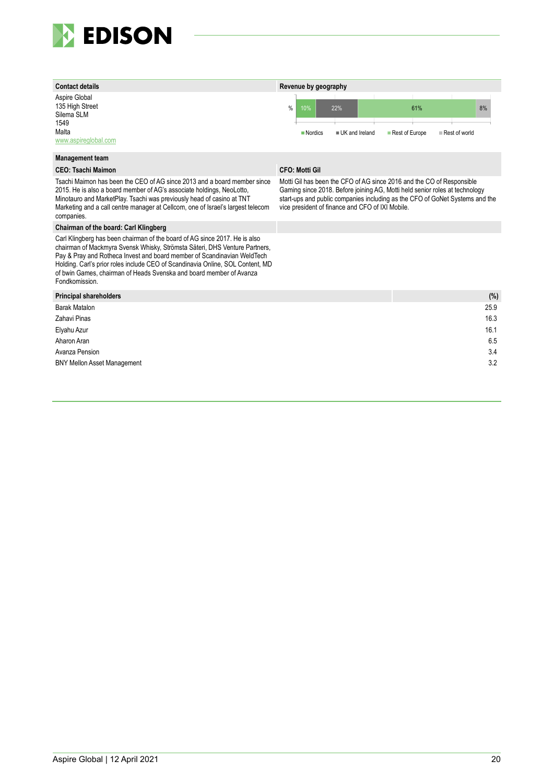



#### **Management team**

Tsachi Maimon has been the CEO of AG since 2013 and a board member since 2015. He is also a board member of AG's associate holdings, NeoLotto, Minotauro and MarketPlay. Tsachi was previously head of casino at TNT Marketing and a call centre manager at Cellcom, one of Israel's largest telecom companies.

#### **Chairman of the board: Carl Klingberg**

Carl Klingberg has been chairman of the board of AG since 2017. He is also chairman of Mackmyra Svensk Whisky, Strömsta Säteri, DHS Venture Partners, Pay & Pray and Rotheca Invest and board member of Scandinavian WeldTech Holding. Carl's prior roles include CEO of Scandinavia Online, SOL Content, MD of bwin Games, chairman of Heads Svenska and board member of Avanza Fondkomission.

#### **CEO: Tsachi Maimon CFO: Motti Gil**

Motti Gil has been the CFO of AG since 2016 and the CO of Responsible Gaming since 2018. Before joining AG, Motti held senior roles at technology start-ups and public companies including as the CFO of GoNet Systems and the vice president of finance and CFO of IXI Mobile.

| Principal shareholders             | (%)  |
|------------------------------------|------|
| Barak Matalon                      | 25.9 |
| Zahavi Pinas                       | 16.3 |
| Elyahu Azur                        | 16.1 |
| Aharon Aran                        | 6.5  |
| Avanza Pension                     | 3.4  |
| <b>BNY Mellon Asset Management</b> | 3.2  |
|                                    |      |